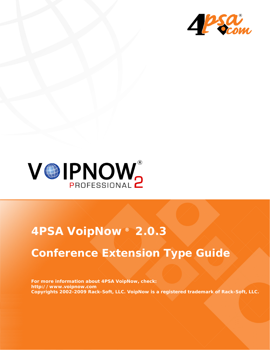



# **4PSA VoipNow ® 2.0.3**

# **Conference Extension Type Guide**

**For more information about 4PSA VoipNow, check: http://www.voipnow.com Copyrights 2002-2009 Rack-Soft, LLC. VoipNow is a registered trademark of Rack-Soft, LLC.**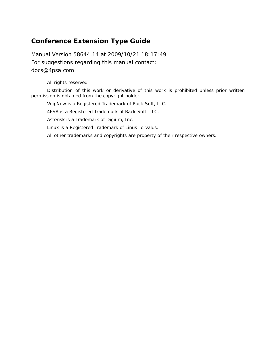### **Conference Extension Type Guide**

Manual Version 58644.14 at 2009/10/21 18:17:49 For suggestions regarding this manual contact: docs@4psa.com

#### All rights reserved

Distribution of this work or derivative of this work is prohibited unless prior written permission is obtained from the copyright holder.

VoipNow is a Registered Trademark of Rack-Soft, LLC.

4PSA is a Registered Trademark of Rack-Soft, LLC.

Asterisk is a Trademark of Digium, Inc.

Linux is a Registered Trademark of Linus Torvalds.

All other trademarks and copyrights are property of their respective owners.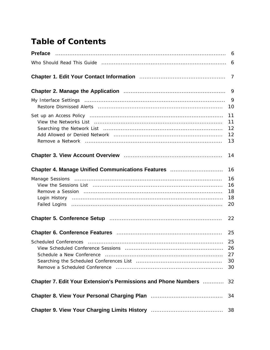## **Table of Contents**

|                                                                                            | 6                          |
|--------------------------------------------------------------------------------------------|----------------------------|
|                                                                                            | 6                          |
|                                                                                            | 7                          |
| Chapter 2. Manage the Application <b>contract to the Chapter 2. Manage the Application</b> | 9                          |
|                                                                                            | 9<br>10                    |
|                                                                                            | 11<br>11<br>12<br>12<br>13 |
|                                                                                            | 14                         |
| Chapter 4. Manage Unified Communications Features                                          | 16                         |
|                                                                                            | 16<br>16<br>18<br>18<br>20 |
|                                                                                            | 22                         |
|                                                                                            | 25                         |
| Schedule a New Conference                                                                  | 25<br>26<br>27<br>30<br>30 |
| <b>Chapter 7. Edit Your Extension's Permissions and Phone Numbers Merrows</b>              | 32                         |
|                                                                                            | 34                         |
|                                                                                            | 38                         |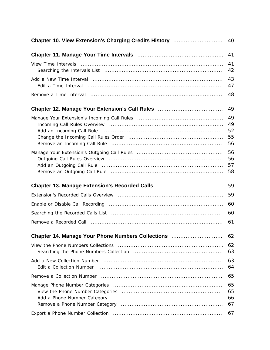| Chapter 10. View Extension's Charging Credits History                                              | 40                         |
|----------------------------------------------------------------------------------------------------|----------------------------|
|                                                                                                    | 41                         |
|                                                                                                    | 41<br>42                   |
|                                                                                                    | 43<br>47                   |
|                                                                                                    | 48                         |
| Chapter 12. Manage Your Extension's Call Rules [11] Chapter 12. Manage Your Extension's Call Rules | 49                         |
|                                                                                                    | 49<br>49<br>52<br>55<br>56 |
|                                                                                                    | 56<br>56<br>57<br>58       |
|                                                                                                    | 59                         |
|                                                                                                    | 59                         |
|                                                                                                    | 60                         |
|                                                                                                    | 60                         |
|                                                                                                    | 61                         |
| Chapter 14. Manage Your Phone Numbers Collections                                                  | 62                         |
|                                                                                                    | 62<br>63                   |
|                                                                                                    | 63<br>64                   |
|                                                                                                    | 65                         |
|                                                                                                    | 65<br>65<br>66<br>67       |
|                                                                                                    | 67                         |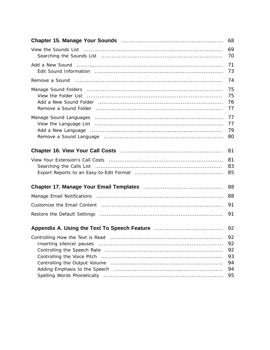|                                                                                                                                                                                                                                                           | 69<br>70                               |
|-----------------------------------------------------------------------------------------------------------------------------------------------------------------------------------------------------------------------------------------------------------|----------------------------------------|
|                                                                                                                                                                                                                                                           | 71<br>73                               |
|                                                                                                                                                                                                                                                           | 74                                     |
| Manage Sound Folders (and according to the control of the sound for the Manage Sound Folders (and the control of the control of the Sound Folders<br>Remove a Sound Folder (and according to the control of the sound following the Remove a Sound Folder | 75<br>75<br>76<br>77                   |
|                                                                                                                                                                                                                                                           | 77<br>77<br>79<br>80                   |
|                                                                                                                                                                                                                                                           | 81                                     |
|                                                                                                                                                                                                                                                           | 81<br>83<br>85                         |
|                                                                                                                                                                                                                                                           | 88                                     |
|                                                                                                                                                                                                                                                           | 88                                     |
|                                                                                                                                                                                                                                                           | 91                                     |
|                                                                                                                                                                                                                                                           | 91                                     |
| Appendix A. Using the Text To Speech Feature <b>Communist Contains A.</b> Using the Text To Speech Feature Communist Co                                                                                                                                   | 92                                     |
|                                                                                                                                                                                                                                                           | 92<br>92<br>92<br>93<br>94<br>94<br>95 |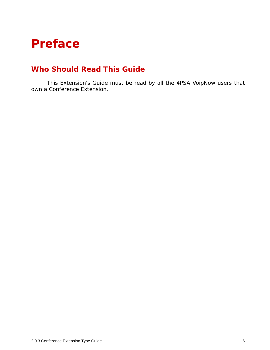# <span id="page-5-0"></span>**Preface**

### <span id="page-5-1"></span>**Who Should Read This Guide**

This Extension's Guide must be read by all the 4PSA VoipNow users that own a Conference Extension.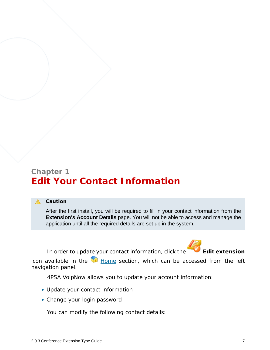### <span id="page-6-0"></span>**Chapter 1 Edit Your Contact Information**

#### **A** Caution

After the first install, you will be required to fill in your contact information from the **Extension's Account Details** page. You will not be able to access and manage the application until all the required details are set up in the system.

In order to update your contact information, click the **Edit extension** 



icon available in the  $\blacksquare$  Home section, which can be accessed from the left navigation panel.

4PSA VoipNow allows you to update your account information:

- Update your contact information
- Change your login password

You can modify the following contact details: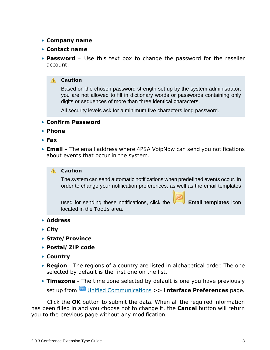- **Company name**
- **Contact name**
- **Password** Use this text box to change the password for the reseller account.
	- **A** Caution

Based on the chosen password strength set up by the system administrator, you are not allowed to fill in dictionary words or passwords containing only digits or sequences of more than three identical characters.

All security levels ask for a minimum five characters long password.

- **Confirm Password**
- **Phone**
- **Fax**
- **Email** The email address where 4PSA VoipNow can send you notifications about events that occur in the system.

#### **A** Caution

The system can send automatic notifications when predefined events occur. In order to change your notification preferences, as well as the email templates

used for sending these notifications, click the **Email templates** icon located in the Tools area.

- **Address**
- **City**
- **State/Province**
- **Postal/ZIP code**
- **Country**
- **Region** The regions of a country are listed in alphabetical order. The one selected by default is the first one on the list.
- **Timezone** The time zone selected by default is one you have previously set up from Unified Communications >> **Interface Preferences** page.

Click the **OK** button to submit the data. When all the required information has been filled in and you choose not to change it, the **Cancel** button will return you to the previous page without any modification.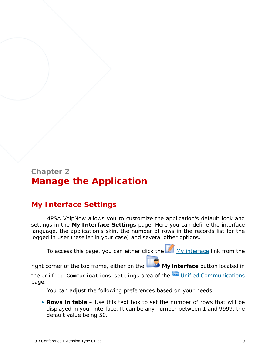### <span id="page-8-0"></span>**Chapter 2 Manage the Application**

### <span id="page-8-1"></span>**My Interface Settings**

4PSA VoipNow allows you to customize the application's default look and settings in the **My Interface Settings** page. Here you can define the interface language, the application's skin, the number of rows in the records list for the logged in user (reseller in your case) and several other options.

To access this page, you can either click the  $M_{\text{My}}$  interface link from the

right corner of the top frame, either on the **My interface** button located in

the Unified Communications settings area of the Unified Communications page.

You can adjust the following preferences based on your needs:

• **Rows in table** – Use this text box to set the number of rows that will be displayed in your interface. It can be any number between 1 and 9999, the default value being 50.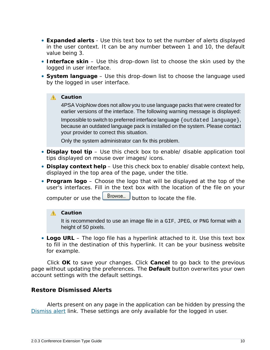- **Expanded alerts** Use this text box to set the number of alerts displayed in the user context. It can be any number between 1 and 10, the default value being 3.
- **Interface skin** Use this drop-down list to choose the skin used by the logged in user interface.
- **System language** Use this drop-down list to choose the language used by the logged in user interface.

**A** Caution

4PSA VoipNow does not allow you to use language packs that were created for earlier versions of the interface. The following warning message is displayed:

Impossible to switch to preferred interface language {outdated language}, because an outdated language pack is installed on the system. Please contact your provider to correct this situation.

Only the system administrator can fix this problem.

- **Display tool tip** Use this check box to enable/ disable application tool tips displayed on mouse over images/ icons.
- **Display context help** Use this check box to enable/ disable context help, displayed in the top area of the page, under the title.
- **Program logo** Choose the logo that will be displayed at the top of the user's interfaces. Fill in the text box with the location of the file on your

computer or use the  $\Box$  button to locate the file.

#### **A** Caution

It is recommended to use an image file in a GIF, JPEG, or PNG format with a height of 50 pixels.

• **Logo URL** – The logo file has a hyperlink attached to it. Use this text box to fill in the destination of this hyperlink. It can be your business website for example.

Click **OK** to save your changes. Click **Cancel** to go back to the previous page without updating the preferences. The **Default** button overwrites your own account settings with the default settings.

#### <span id="page-9-0"></span>**Restore Dismissed Alerts**

Alerts present on any page in the application can be hidden by pressing the Dismiss alert link. These settings are only available for the logged in user.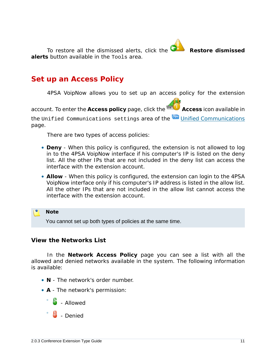To restore all the dismissed alerts, click the **Restore dismissed alerts** button available in the Tools area.

# <span id="page-10-0"></span>**Set up an Access Policy**

4PSA VoipNow allows you to set up an access policy for the extension

account. To enter the Access policy page, click the **Access** icon available in

the Unified Communications settings area of the Unified Communications page.

There are two types of access policies:

- **Deny** When this policy is configured, the extension is not allowed to log in to the 4PSA VoipNow interface if his computer's IP is listed on the deny list. All the other IPs that are not included in the deny list *can* access the interface with the extension account.
- **Allow** When this policy is configured, the extension can login to the 4PSA VoipNow interface only if his computer's IP address is listed in the allow list. All the other IPs that are not included in the allow list *cannot* access the interface with the extension account.

**Note** You cannot set up both types of policies at the same time.

<span id="page-10-1"></span>**View the Networks List**

In the **Network Access Policy** page you can see a list with all the allowed and denied networks available in the system. The following information is available:

- **N** The network's order number.
- **A** The network's permission:
	- $\frac{1}{2}$  Allowed
	- $\frac{1}{2}$  - Denied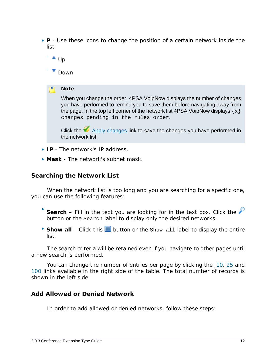- **P** Use these icons to change the position of a certain network inside the list:
	- ° ▲ Up

◦

**Down** 

**Note**

When you change the order, 4PSA VoipNow displays the number of changes you have performed to remind you to save them before navigating away from the page. In the top left corner of the network list 4PSA VoipNow displays  $\{x\}$ changes pending in the rules order.

Click the  $\blacktriangledown$  Apply changes link to save the changes you have performed in the network list.

- **IP** The network's IP address.
- **Mask** The network's subnet mask.

<span id="page-11-0"></span>**Searching the Network List**

When the network list is too long and you are searching for a specific one, you can use the following features:

- Search – Fill in the text you are looking for in the text box. Click the button or the Search label to display only the desired networks.
- Show all Click this  $\equiv$  button or the Show all label to display the entire list.

The search criteria will be retained even if you navigate to other pages until a new search is performed.

You can change the number of entries per page by clicking the 10, 25 and 100 links available in the right side of the table. The total number of records is shown in the left side.

<span id="page-11-1"></span>**Add Allowed or Denied Network**

In order to add allowed or denied networks, follow these steps: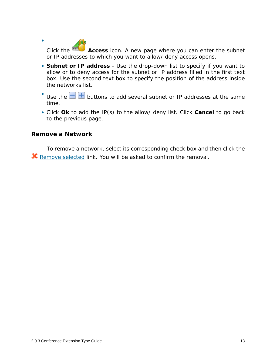Click the **Access** icon. A new page where you can enter the subnet or IP addresses to which you want to allow/ deny access opens.

- **Subnet or IP address** Use the drop-down list to specify if you want to allow or to deny access for the subnet or IP address filled in the first text box. Use the second text box to specify the position of the address inside the networks list.
- Use the  $\Box$  buttons to add several subnet or IP addresses at the same time.
- Click **Ok** to add the IP(s) to the allow/ deny list. Click **Cancel** to go back to the previous page.

<span id="page-12-0"></span>**Remove a Network**

•

To remove a network, select its corresponding check box and then click the **K** Remove selected link. You will be asked to confirm the removal.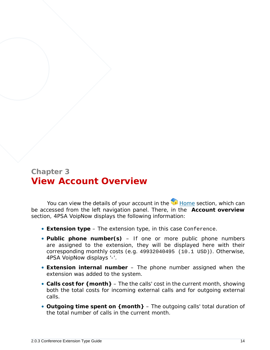### <span id="page-13-0"></span>**Chapter 3 View Account Overview**

You can view the details of your account in the  $\blacksquare$  Home section, which can be accessed from the left navigation panel. There, in the **Account overview** section, 4PSA VoipNow displays the following information:

- **Extension type** The extension type, in this case Conference.
- **Public phone number(s)** If one or more public phone numbers are assigned to the extension, they will be displayed here with their corresponding monthly costs (e.g. 49932040495 (10.1 USD)). Otherwise, 4PSA VoipNow displays '-'.
- **Extension internal number** The phone number assigned when the extension was added to the system.
- **Calls cost for {month}** The the calls' cost in the current month, showing both the total costs for incoming external calls and for outgoing external calls.
- **Outgoing time spent on {month}** The outgoing calls' total duration of the total number of calls in the current month.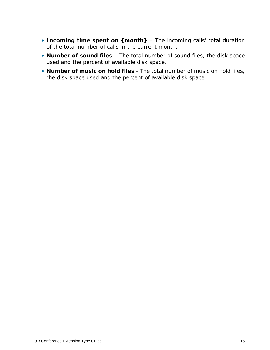- **Incoming time spent on {month}** The incoming calls' total duration of the total number of calls in the current month.
- **Number of sound files** The total number of sound files, the disk space used and the percent of available disk space.
- **Number of music on hold files** The total number of music on hold files, the disk space used and the percent of available disk space.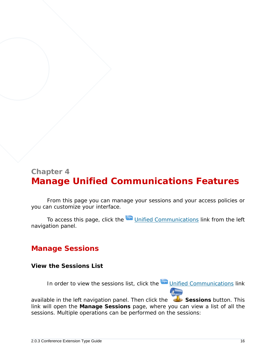### <span id="page-15-0"></span>**Chapter 4 Manage Unified Communications Features**

From this page you can manage your sessions and your access policies or you can customize your interface.

<span id="page-15-1"></span>To access this page, click the Unified Communications link from the left navigation panel.

### <span id="page-15-2"></span>**Manage Sessions**

**View the Sessions List**

In order to view the sessions list, click the Unified Communications link

available in the left navigation panel. Then click the **Sessions button. This** link will open the **Manage Sessions** page, where you can view a list of all the sessions. Multiple operations can be performed on the sessions: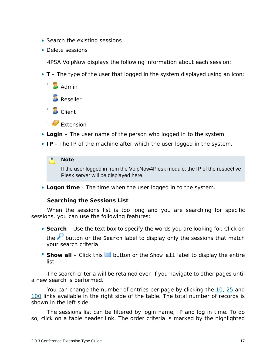- Search the existing sessions
- Delete sessions

4PSA VoipNow displays the following information about each session:

- **T** The type of the user that logged in the system displayed using an icon:
	- **Admin** ◦ **Reseller**
	- **D** Client
	- Extension
- **Login** The user name of the person who logged in to the system.
- **IP** The IP of the machine after which the user logged in the system.

#### **Note**

If the user logged in from the VoipNow4Plesk module, the IP of the respective Plesk server will be displayed here.

• **Logon time** - The time when the user logged in to the system.

**Searching the Sessions List**

When the sessions list is too long and you are searching for specific sessions, you can use the following features:

- **Search** Use the text box to specify the words you are looking for. Click on the  $\mathcal P$  button or the Search label to display only the sessions that match your search criteria.
- Show all Click this  $\equiv$  button or the Show all label to display the entire list.

The search criteria will be retained even if you navigate to other pages until a new search is performed.

You can change the number of entries per page by clicking the 10, 25 and 100 links available in the right side of the table. The total number of records is shown in the left side.

The sessions list can be filtered by login name, IP and log in time. To do so, click on a table header link. The order criteria is marked by the highlighted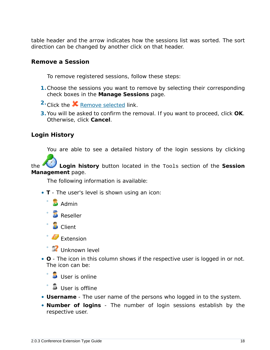table header and the arrow indicates how the sessions list was sorted. The sort direction can be changed by another click on that header.

<span id="page-17-0"></span>**Remove a Session**

To remove registered sessions, follow these steps:

- **1.**Choose the sessions you want to remove by selecting their corresponding check boxes in the **Manage Sessions** page.
- <sup>2</sup> Click the **X** Remove selected link.
- **3.**You will be asked to confirm the removal. If you want to proceed, click **OK**. Otherwise, click **Cancel**.

<span id="page-17-1"></span>**Login History**

You are able to see a detailed history of the login sessions by clicking

the **Login history** button located in the Tools section of the **Session Management** page.

The following information is available:

- **T** The user's level is shown using an icon:
	- $\Box$  Admin
	- **Reseller**
	- **D** Client

◦

- Extension
- Unknown level
- **O** The icon in this column shows if the respective user is logged in or not. The icon can be:

 $\bullet$ **User is online** 

- **User is offline**
- **Username** The user name of the persons who logged in to the system.
- **Number of logins** The number of login sessions establish by the respective user.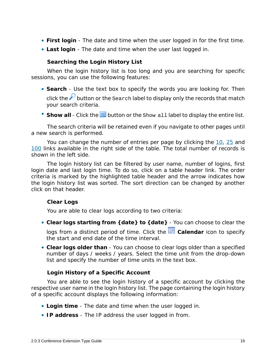- **First login** The date and time when the user logged in for the first time.
- **Last login** The date and time when the user last logged in.

**Searching the Login History List**

When the login history list is too long and you are searching for specific sessions, you can use the following features:

- **Search** Use the text box to specify the words you are looking for. Then click the  $\mathcal P$  button or the Search label to display only the records that match your search criteria.
- Show all Click the  $\equiv$  button or the Show all label to display the entire list.

The search criteria will be retained even if you navigate to other pages until a new search is performed.

You can change the number of entries per page by clicking the 10, 25 and 100 links available in the right side of the table. The total number of records is shown in the left side.

The login history list can be filtered by user name, number of logins, first login date and last login time. To do so, click on a table header link. The order criteria is marked by the highlighted table header and the arrow indicates how the login history list was sorted. The sort direction can be changed by another click on that header.

<span id="page-18-0"></span>**Clear Logs**

You are able to clear logs according to two criteria:

• **Clear logs starting from {date} to {date}** - You can choose to clear the

logs from a distinct period of time. Click the **E** Calendar icon to specify the start and end date of the time interval.

• **Clear logs older than** - You can choose to clear logs older than a specified number of days / weeks / years. Select the time unit from the drop-down list and specify the number of time units in the text box.

#### **Login History of a Specific Account**

You are able to see the login history of a specific account by clicking the respective user name in the login history list. The page containing the login history of a specific account displays the following information:

- **Login time** The date and time when the user logged in.
- **IP address** The IP address the user logged in from.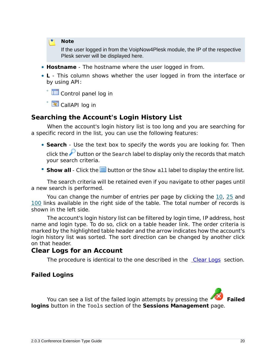**Note**

If the user logged in from the VoipNow4Plesk module, the IP of the respective Plesk server will be displayed here.

- **Hostname** The hostname where the user logged in from.
- **L** This column shows whether the user logged in from the interface or by using API:

◦ Control panel log in

◦ CallAPI log in

#### **Searching the Account's Login History List**

When the account's login history list is too long and you are searching for a specific record in the list, you can use the following features:

- **Search** Use the text box to specify the words you are looking for. Then click the  $\mathcal P$  button or the Search label to display only the records that match your search criteria.
- Show all Click the  $\equiv$  button or the show all label to display the entire list.

The search criteria will be retained even if you navigate to other pages until a new search is performed.

You can change the number of entries per page by clicking the 10, 25 and 100 links available in the right side of the table. The total number of records is shown in the left side.

The account's login history list can be filtered by login time, IP address, host name and login type. To do so, click on a table header link. The order criteria is marked by the highlighted table header and the arrow indicates how the account's login history list was sorted. The sort direction can be changed by another click on that header.

#### **Clear Logs for an Account**

The procedure is identical to the one described in the [Clear Logs](#page-18-0) section.

<span id="page-19-0"></span>**Failed Logins**

You can see a list of the failed login attempts by pressing the **Failed logins** button in the Tools section of the **Sessions Management** page.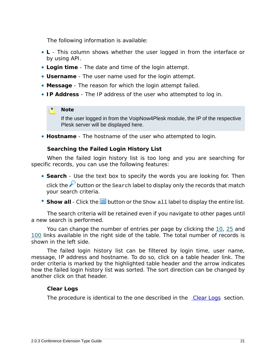The following information is available:

- **L** This column shows whether the user logged in from the interface or by using API.
- **Login time** The date and time of the login attempt.
- **Username** The user name used for the login attempt.
- **Message** The reason for which the login attempt failed.
- **IP Address** The IP address of the user who attempted to log in.

#### **Note**

If the user logged in from the VoipNow4Plesk module, the IP of the respective Plesk server will be displayed here.

• **Hostname** - The hostname of the user who attempted to login.

**Searching the Failed Login History List**

When the failed login history list is too long and you are searching for specific records, you can use the following features:

- **Search** Use the text box to specify the words you are looking for. Then click the  $\mathcal P$  button or the Search label to display only the records that match your search criteria.
- Show all Click the  $\equiv$  button or the show all label to display the entire list.

The search criteria will be retained even if you navigate to other pages until a new search is performed.

You can change the number of entries per page by clicking the 10, 25 and 100 links available in the right side of the table. The total number of records is shown in the left side.

The failed login history list can be filtered by login time, user name, message, IP address and hostname. To do so, click on a table header link. The order criteria is marked by the highlighted table header and the arrow indicates how the failed login history list was sorted. The sort direction can be changed by another click on that header.

#### **Clear Logs**

The procedure is identical to the one described in the [Clear Logs](#page-18-0) section.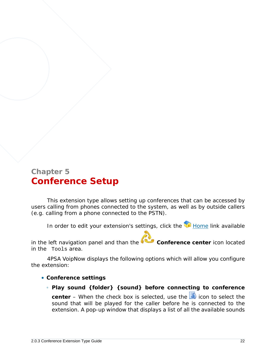## <span id="page-21-0"></span>**Chapter 5 Conference Setup**

This extension type allows setting up conferences that can be accessed by users calling from phones connected to the system, as well as by outside callers (e.g. calling from a phone connected to the PSTN).

In order to edit your extension's settings, click the Home link available

in the left navigation panel and than the **Conference center** icon located in the Tools area.

4PSA VoipNow displays the following options which will allow you configure the extension:

- **Conference settings**
	- **Play sound {folder} {sound} before connecting to conference**

center – When the check box is selected, use the **i** icon to select the sound that will be played for the caller before he is connected to the extension. A pop-up window that displays a list of all the available sounds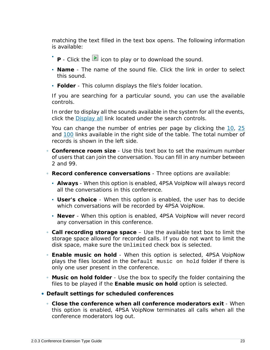matching the text filled in the text box opens. The following information is available:

- **■** P Click the **D** icon to play or to download the sound.
- **Name** The name of the sound file. Click the link in order to select this sound.
- **Folder** This column displays the file's folder location.

If you are searching for a particular sound, you can use the available controls.

In order to display all the sounds available in the system for all the events, click the Display all link located under the search controls.

You can change the number of entries per page by clicking the 10, 25 and 100 links available in the right side of the table. The total number of records is shown in the left side.

- **Conference room size** Use this text box to set the maximum number of users that can join the conversation. You can fill in any number between 2 and 99.
- **Record conference conversations** Three options are available:
	- **Always** When this option is enabled, 4PSA VoipNow will always record all the conversations in this conference.
	- **User's choice** When this option is enabled, the user has to decide which conversations will be recorded by 4PSA VoipNow.
	- **Never** When this option is enabled, 4PSA VoipNow will never record any conversation in this conference.
- **Call recording storage space** Use the available text box to limit the storage space allowed for recorded calls. If you do not want to limit the disk space, make sure the Unlimited check box is selected.
- **Enable music on hold** When this option is selected, 4PSA VoipNow plays the files located in the Default music on hold folder if there is only one user present in the conference.
- **Music on hold folder** Use the box to specify the folder containing the files to be played if the **Enable music on hold** option is selected.
- **Default settings for scheduled conferences**
	- **Close the conference when all conference moderators exit** When this option is enabled, 4PSA VoipNow terminates all calls when all the conference moderators log out.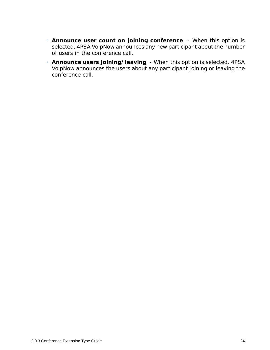- **Announce user count on joining conference**  When this option is selected, 4PSA VoipNow announces any new participant about the number of users in the conference call.
- **Announce users joining/leaving**  When this option is selected, 4PSA VoipNow announces the users about any participant joining or leaving the conference call.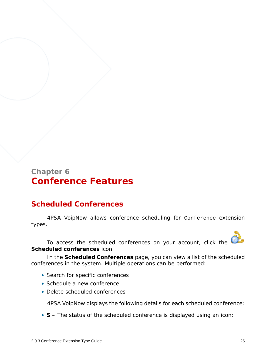### <span id="page-24-0"></span>**Chapter 6 Conference Features**

### <span id="page-24-1"></span>**Scheduled Conferences**

4PSA VoipNow allows conference scheduling for Conference extension types.

To access the scheduled conferences on your account, click the **Scheduled conferences** icon.

In the **Scheduled Conferences** page, you can view a list of the scheduled conferences in the system. Multiple operations can be performed:

- Search for specific conferences
- Schedule a new conference
- Delete scheduled conferences

4PSA VoipNow displays the following details for each scheduled conference:

• **S** – The status of the scheduled conference is displayed using an icon: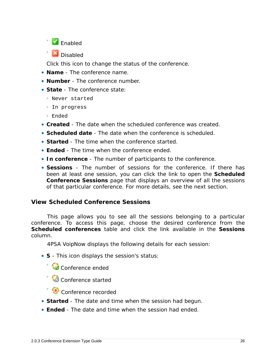

◦ **X** Disabled

Click this icon to change the status of the conference.

- **Name** The conference name.
- **Number** The conference number.
- **State** The conference state:
	- Never started
	- In progress
	- Ended
- **Created** The date when the scheduled conference was created.
- **Scheduled date** The date when the conference is scheduled.
- **Started** The time when the conference started.
- **Ended** The time when the conference ended.
- **In conference** The number of participants to the conference.
- **Sessions** The number of sessions for the conference. If there has been at least one session, you can click the link to open the **Scheduled Conference Sessions** page that displays an overview of all the sessions of that particular conference. For more details, see the next section.

#### <span id="page-25-0"></span>**View Scheduled Conference Sessions**

This page allows you to see all the sessions belonging to a particular conference. To access this page, choose the desired conference from the **Scheduled conferences** table and click the link available in the **Sessions** column.

4PSA VoipNow displays the following details for each session:

- **S** This icon displays the session's status:
	- Conference ended
	- Conference started
	- Conference recorded
- **Started** The date and time when the session had begun.
- **Ended** The date and time when the session had ended.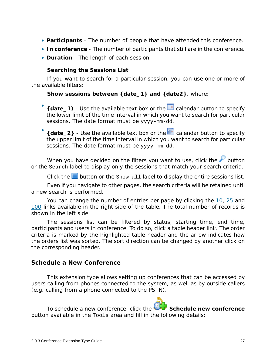- **Participants** The number of people that have attended this conference.
- **In conference** The number of participants that still are in the conference.
- **Duration** The length of each session.

**Searching the Sessions List**

If you want to search for a particular session, you can use one or more of the available filters:

**Show sessions between {date\_1} and {date2}**, where:

•  $\{$  date  $\{1\}$  - Use the available text box or the  $\equiv$  calendar button to specify the lower limit of the time interval in which you want to search for particular sessions. The date format must be yyyy-mm-dd.

• {date\_2} - Use the available text box or the **independent** calendar button to specify the upper limit of the time interval in which you want to search for particular sessions. The date format must be yyyy-mm-dd.

When you have decided on the filters you want to use, click the  $\mathcal P$  button or the Search label to display only the sessions that match your search criteria.

Click the  $\equiv$  button or the Show all label to display the entire sessions list.

Even if you navigate to other pages, the search criteria will be retained until a new search is performed.

You can change the number of entries per page by clicking the 10, 25 and 100 links available in the right side of the table. The total number of records is shown in the left side.

The sessions list can be filtered by status, starting time, end time, participants and users in conference. To do so, click a table header link. The order criteria is marked by the highlighted table header and the arrow indicates how the orders list was sorted. The sort direction can be changed by another click on the corresponding header.

#### <span id="page-26-0"></span>**Schedule a New Conference**

This extension type allows setting up conferences that can be accessed by users calling from phones connected to the system, as well as by outside callers (e.g. calling from a phone connected to the PSTN).

To schedule a new conference, click the **Schedule new conference** button available in the Tools area and fill in the following details: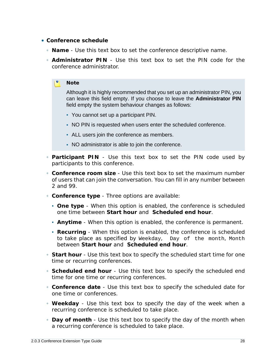- **Conference schedule**
	- **Name** Use this text box to set the conference descriptive name.
	- **Administrator PIN** Use this text box to set the PIN code for the conference administrator.

#### **Note**

Although it is highly recommended that you set up an administrator PIN, you can leave this field empty. If you choose to leave the **Administrator PIN** field empty the system behaviour changes as follows:

- You cannot set up a participant PIN.
- NO PIN is requested when users enter the scheduled conference.
- ALL users join the conference as members.
- NO administrator is able to join the conference.
- **Participant PIN** Use this text box to set the PIN code used by participants to this conference.
- **Conference room size** Use this text box to set the maximum number of users that can join the conversation. You can fill in any number between 2 and 99.
- **Conference type** Three options are available:
	- **One type** When this option is enabled, the conference is scheduled one time between **Start hour** and **Scheduled end hour**.
	- **Anytime** When this option is enabled, the conference is permanent.
	- **Recurring** When this option is enabled, the conference is scheduled to take place as specified by Weekday, Day of the month, Month between **Start hour** and **Scheduled end hour**.
- **Start hour** Use this text box to specify the scheduled start time for one time or recurring conferences.
- **Scheduled end hour** Use this text box to specify the scheduled end time for one time or recurring conferences.
- **Conference date** Use this text box to specify the scheduled date for one time or conferences.
- **Weekday** Use this text box to specify the day of the week when a recurring conference is scheduled to take place.
- **Day of month** Use this text box to specify the day of the month when a recurring conference is scheduled to take place.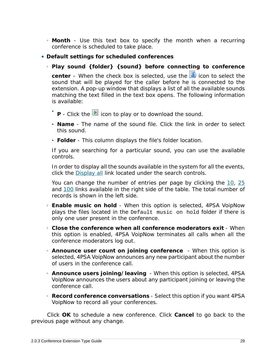- **Month** Use this text box to specify the month when a recurring conference is scheduled to take place.
- **Default settings for scheduled conferences**

◦ **Play sound {folder} {sound} before connecting to conference center** – When the check box is selected, use the **induced** icon to select the sound that will be played for the caller before he is connected to the extension. A pop-up window that displays a list of all the available sounds matching the text filled in the text box opens. The following information is available:

- **■** P Click the **D** icon to play or to download the sound.
- **Name** The name of the sound file. Click the link in order to select this sound.
- **Folder** This column displays the file's folder location.

If you are searching for a particular sound, you can use the available controls.

In order to display all the sounds available in the system for all the events, click the Display all link located under the search controls.

You can change the number of entries per page by clicking the 10, 25 and 100 links available in the right side of the table. The total number of records is shown in the left side.

- **Enable music on hold** When this option is selected, 4PSA VoipNow plays the files located in the Default music on hold folder if there is only one user present in the conference.
- **Close the conference when all conference moderators exit** When this option is enabled, 4PSA VoipNow terminates all calls when all the conference moderators log out.
- **Announce user count on joining conference**  When this option is selected, 4PSA VoipNow announces any new participant about the number of users in the conference call.
- **Announce users joining/leaving**  When this option is selected, 4PSA VoipNow announces the users about any participant joining or leaving the conference call.
- **Record conference conversations** Select this option if you want 4PSA VoipNow to record all your conferences.

Click **OK** to schedule a new conference. Click **Cancel** to go back to the previous page without any change.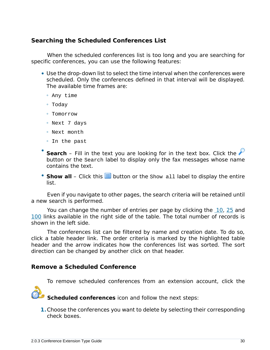#### <span id="page-29-0"></span>**Searching the Scheduled Conferences List**

When the scheduled conferences list is too long and you are searching for specific conferences, you can use the following features:

- Use the drop-down list to select the time interval when the conferences were scheduled. Only the conferences defined in that interval will be displayed. The available time frames are:
	- Any time
	- Today
	- Tomorrow
	- Next 7 days
	- Next month
	- In the past
- Search – Fill in the text you are looking for in the text box. Click the button or the Search label to display only the fax messages whose name contains the text.
- Show all Click this **in** button or the Show all label to display the entire list.

Even if you navigate to other pages, the search criteria will be retained until a new search is performed.

You can change the number of entries per page by clicking the 10, 25 and 100 links available in the right side of the table. The total number of records is shown in the left side.

The conferences list can be filtered by name and creation date. To do so, click a table header link. The order criteria is marked by the highlighted table header and the arrow indicates how the conferences list was sorted. The sort direction can be changed by another click on that header.

<span id="page-29-1"></span>**Remove a Scheduled Conference**

To remove scheduled conferences from an extension account, click the



**Scheduled conferences** icon and follow the next steps:

**1.**Choose the conferences you want to delete by selecting their corresponding check boxes.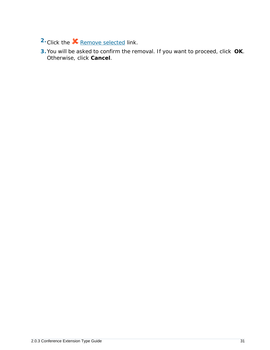- <sup>2</sup> Click the **X** Remove selected link.
- **3.**You will be asked to confirm the removal. If you want to proceed, click **OK**. Otherwise, click **Cancel**.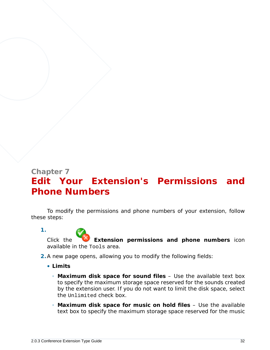## <span id="page-31-0"></span>**Chapter 7 Edit Your Extension's Permissions and Phone Numbers**

To modify the permissions and phone numbers of your extension, follow these steps:

**1.** Click the **Extension permissions and phone numbers** icon available in the Tools area.

- **2.**A new page opens, allowing you to modify the following fields:
	- **Limits**
		- **Maximum disk space for sound files** Use the available text box to specify the maximum storage space reserved for the sounds created by the extension user. If you do not want to limit the disk space, select the Unlimited check box.
		- **Maximum disk space for music on hold files** Use the available text box to specify the maximum storage space reserved for the music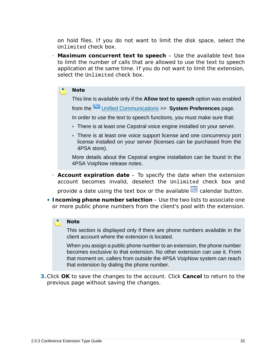on hold files. If you do not want to limit the disk space, select the Unlimited check box.

◦ **Maximum concurrent text to speech** – Use the available text box to limit the number of calls that are allowed to use the text to speech application at the same time. If you do not want to limit the extension, select the Unlimited check box.

#### **Note**

This line is available only if the **Allow text to speech** option was enabled

from the Unified Communications >> **System Preferences** page.

In order to use the text to speech functions, you must make sure that:

- There is at least one Cepstral voice engine installed on your server.
- There is at least one voice support license and one concurrency port license installed on your server (licenses can be purchased from the 4PSA store).

More details about the Cepstral engine installation can be found in the 4PSA VoipNow release notes.

◦ **Account expiration date** – To specify the date when the extension account becomes invalid, deselect the Unlimited check box and

provide a date using the text box or the available **calendar button**.

• **Incoming phone number selection** – Use the two lists to associate one or more public phone numbers from the client's pool with the extension.

#### **Note**

This section is displayed only if there are phone numbers available in the client account where the extension is located.

When you assign a public phone number to an extension, the phone number becomes exclusive to that extension. No other extension can use it. From that moment on, callers from outside the 4PSA VoipNow system can reach that extension by dialing the phone number.

**3.**Click **OK** to save the changes to the account. Click **Cancel** to return to the previous page without saving the changes.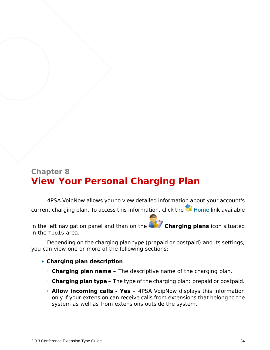## <span id="page-33-0"></span>**Chapter 8 View Your Personal Charging Plan**

4PSA VoipNow allows you to view detailed information about your account's current charging plan. To access this information, click the  $\blacksquare$  Home link available

in the left navigation panel and than on the **Charging plans** icon situated in the Tools area.

Depending on the charging plan type (prepaid or postpaid) and its settings, you can view one or more of the following sections:

- **Charging plan description**
	- **Charging plan name** The descriptive name of the charging plan.
	- **Charging plan type** The type of the charging plan: prepaid or postpaid.
	- **Allow incoming calls Yes** 4PSA VoipNow displays this information only if your extension can receive calls from extensions that belong to the system as well as from extensions outside the system.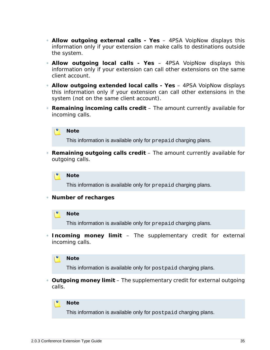- **Allow outgoing external calls Yes** 4PSA VoipNow displays this information only if your extension can make calls to destinations outside the system.
- **Allow outgoing local calls Yes** 4PSA VoipNow displays this information only if your extension can call other extensions on the same client account.
- **Allow outgoing extended local calls Yes** 4PSA VoipNow displays this information only if your extension can call other extensions in the system (not on the same client account).
- **Remaining incoming calls credit** The amount currently available for incoming calls.



This information is available only for prepaid charging plans.

◦ **Remaining outgoing calls credit** – The amount currently available for outgoing calls.



This information is available only for prepaid charging plans.

◦ **Number of recharges**

#### **Note**

This information is available only for prepaid charging plans.

◦ **Incoming money limit** – The supplementary credit for external incoming calls.



This information is available only for postpaid charging plans.

◦ **Outgoing money limit** – The supplementary credit for external outgoing calls.



This information is available only for postpaid charging plans.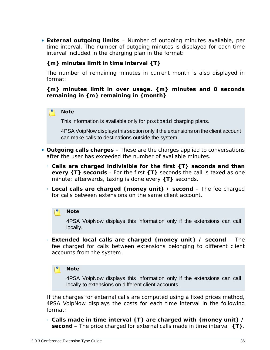• **External outgoing limits** – Number of outgoing minutes available, per time interval. The number of outgoing minutes is displayed for each time interval included in the charging plan in the format:

**{m} minutes limit in time interval {T}**

The number of remaining minutes in current month is also displayed in format:

**{m} minutes limit in over usage. {m} minutes and 0 seconds remaining in {m} remaining in {month}**

#### **Note**

This information is available only for postpaid charging plans.

4PSA VoipNow displays this section only if the extensions on the client account can make calls to destinations outside the system.

- **Outgoing calls charges** These are the charges applied to conversations after the user has exceeded the number of available minutes.
	- **Calls are charged indivisible for the first {T} seconds and then every {T} seconds** - For the first **{T}** seconds the call is taxed as one minute; afterwards, taxing is done every **{T}** seconds.
	- **Local calls are charged {money unit} / second** The fee charged for calls between extensions on the same client account.

#### **Note**

4PSA VoipNow displays this information only if the extensions can call locally.

◦ **Extended local calls are charged {money unit} / second** – The fee charged for calls between extensions belonging to different client accounts from the system.

#### **Note**

4PSA VoipNow displays this information only if the extensions can call locally to extensions on different client accounts.

If the charges for external calls are computed using a fixed prices method, 4PSA VoipNow displays the costs for each time interval in the following format:

◦ **Calls made in time interval {T} are charged with {money unit} / second** – The price charged for external calls made in time interval **{T}**.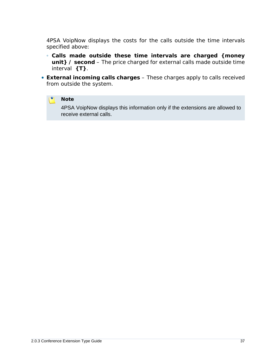4PSA VoipNow displays the costs for the calls outside the time intervals specified above:

- **Calls made outside these time intervals are charged {money unit} / second** – The price charged for external calls made outside time interval **{T}**.
- **External incoming calls charges** These charges apply to calls received from outside the system.

#### $\bullet$ **Note**

4PSA VoipNow displays this information only if the extensions are allowed to receive external calls.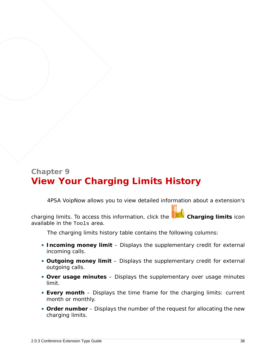# **Chapter 9 View Your Charging Limits History**

4PSA VoipNow allows you to view detailed information about a extension's

charging limits. To access this information, click the **Charging limits** icon available in the Tools area.

The charging limits history table contains the following columns:

- **Incoming money limit** Displays the supplementary credit for external incoming calls.
- **Outgoing money limit** Displays the supplementary credit for external outgoing calls.
- **Over usage minutes** Displays the supplementary over usage minutes limit.
- **Every month** Displays the time frame for the charging limits: current month or monthly.
- **Order number** Displays the number of the request for allocating the new charging limits.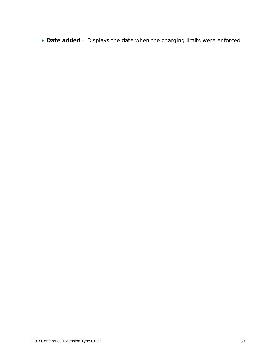• **Date added** – Displays the date when the charging limits were enforced.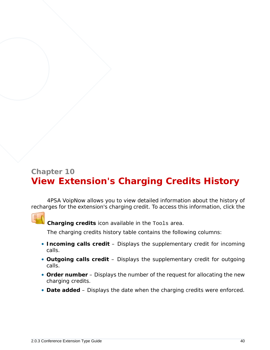# **Chapter 10 View Extension's Charging Credits History**

4PSA VoipNow allows you to view detailed information about the history of recharges for the extension's charging credit. To access this information, click the



**Charging credits** icon available in the Tools area.

The charging credits history table contains the following columns:

- **Incoming calls credit** Displays the supplementary credit for incoming calls.
- **Outgoing calls credit** Displays the supplementary credit for outgoing calls.
- **Order number** Displays the number of the request for allocating the new charging credits.
- **Date added** Displays the date when the charging credits were enforced.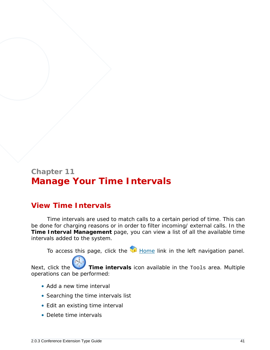# **Chapter 11 Manage Your Time Intervals**

## **View Time Intervals**

Time intervals are used to match calls to a certain period of time. This can be done for charging reasons or in order to filter incoming/ external calls. In the **Time Interval Management** page, you can view a list of all the available time intervals added to the system.

To access this page, click the Home link in the left navigation panel.

Next, click the **Time intervals** icon available in the Tools area. Multiple operations can be performed:

- Add a new time interval
- Searching the time intervals list
- Edit an existing time interval
- Delete time intervals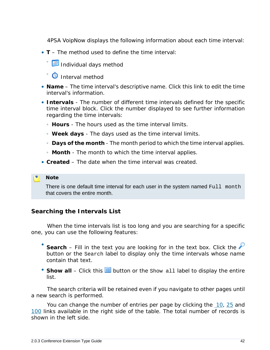4PSA VoipNow displays the following information about each time interval:

- **T** The method used to define the time interval:
	- ® <mark>⊞</mark> Individual days method
	- **O** Interval method
- **Name** The time interval's descriptive name. Click this link to edit the time interval's information.
- **Intervals** The number of different time intervals defined for the specific time interval block. Click the number displayed to see further information regarding the time intervals:
	- **Hours** The hours used as the time interval limits.
	- **Week days** The days used as the time interval limits.
	- **Days of the month** The month period to which the time interval applies.
	- **Month** The month to which the time interval applies.
- **Created** The date when the time interval was created.

#### **Note**

There is one default time interval for each user in the system named Full month that covers the entire month.

### **Searching the Intervals List**

When the time intervals list is too long and you are searching for a specific one, you can use the following features:

- Search – Fill in the text you are looking for in the text box. Click the button or the Search label to display only the time intervals whose name contain that text.
- Show all Click this  $\equiv$  button or the Show all label to display the entire list.

The search criteria will be retained even if you navigate to other pages until a new search is performed.

You can change the number of entries per page by clicking the 10, 25 and 100 links available in the right side of the table. The total number of records is shown in the left side.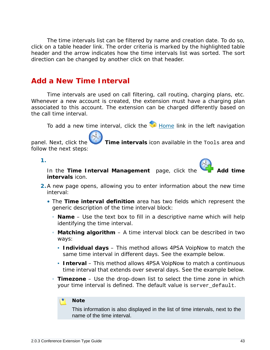The time intervals list can be filtered by name and creation date. To do so, click on a table header link. The order criteria is marked by the highlighted table header and the arrow indicates how the time intervals list was sorted. The sort direction can be changed by another click on that header.

### <span id="page-42-0"></span>**Add a New Time Interval**

Time intervals are used on call filtering, call routing, charging plans, etc. Whenever a new account is created, the extension must have a charging plan associated to this account. The extension can be charged differently based on the call time interval.

To add a new time interval, click the  $\blacksquare$  Home link in the left navigation

panel. Next, click the **Time intervals** icon available in the Tools area and follow the next steps:

**1.**

interval:



- **intervals** icon. **2.**A new page opens, allowing you to enter information about the new time
	- The **Time interval definition** area has two fields which represent the generic description of the time interval block:
		- **Name** Use the text box to fill in a descriptive name which will help identifying the time interval.
		- **Matching algorithm** A time interval block can be described in two ways:
			- **Individual days** This method allows 4PSA VoipNow to match the same time interval in different days. See the example below.
			- **Interval** This method allows 4PSA VoipNow to match a continuous time interval that extends over several days. See the example below.
		- **Timezone** Use the drop-down list to select the time zone in which your time interval is defined. The default value is server default.

#### **Note**

This information is also displayed in the list of time intervals, next to the name of the time interval.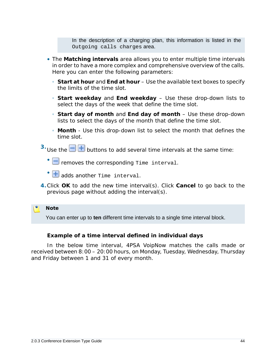In the description of a charging plan, this information is listed in the Outgoing calls charges area.

- The **Matching intervals** area allows you to enter multiple time intervals in order to have a more complex and comprehensive overview of the calls. Here you can enter the following parameters:
	- **Start at hour** and **End at hour** Use the available text boxes to specify the limits of the time slot.
	- **Start weekday** and **End weekday** Use these drop-down lists to select the days of the week that define the time slot.
	- **Start day of month** and **End day of month** Use these drop-down lists to select the days of the month that define the time slot.
	- **Month** Use this drop-down list to select the month that defines the time slot.
- $3.$  Use the  $\Box$  **buttons to add several time intervals at the same time:** 
	- $\Box$  removes the corresponding Time interval.
	- **+** adds another rime interval.
- **4.**Click **OK** to add the new time interval(s). Click **Cancel** to go back to the previous page without adding the interval(s).

**Note**

You can enter up to **ten** different time intervals to a single time interval block.

**Example of a time interval defined in individual days**

In the below time interval, 4PSA VoipNow matches the calls made or received between 8:00 – 20:00 hours, on Monday, Tuesday, Wednesday, Thursday and Friday between 1 and 31 of every month.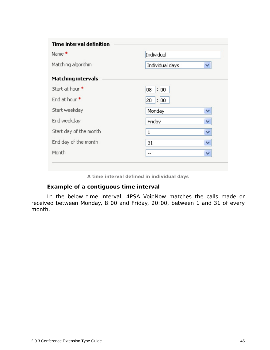| <b>Time interval definition</b> |                 |   |
|---------------------------------|-----------------|---|
| Name <sup>*</sup>               | Individual      |   |
| Matching algorithm              | Individual days | v |
| <b>Matching intervals</b>       |                 |   |
| Start at hour *                 | : 100<br>08     |   |
| End at hour *                   | : 100<br>20     |   |
| Start weekday                   | Monday          | v |
| End weekday                     | Friday          | ٧ |
| Start day of the month          | 1               | ٧ |
| End day of the month            | 31              | ٧ |
| Month                           | --              | ٧ |

**A time interval defined in individual days**

### **Example of a contiguous time interval**

In the below time interval, 4PSA VoipNow matches the calls made or received between Monday, 8:00 and Friday, 20:00, between 1 and 31 of every month.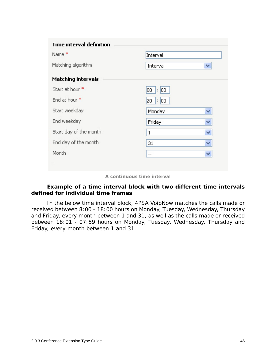| Name <sup>*</sup>         | Interval        |   |
|---------------------------|-----------------|---|
| Matching algorithm        | Interval        | ٧ |
| <b>Matching intervals</b> |                 |   |
| Start at hour *           | : 100<br>08     |   |
| End at hour *             | : 00 <br>$20 -$ |   |
| Start weekday             | Monday          | v |
| End weekday               | Friday          | ٧ |
| Start day of the month    | 1               | v |
| End day of the month      | 31              | v |
| Month                     | $-$             | ٧ |

**A continuous time interval**

**Example of a time interval block with two different time intervals defined for individual time frames**

In the below time interval block, 4PSA VoipNow matches the calls made or received between 8:00 - 18:00 hours on Monday, Tuesday, Wednesday, Thursday and Friday, every month between 1 and 31, as well as the calls made or received between 18:01 - 07:59 hours on Monday, Tuesday, Wednesday, Thursday and Friday, every month between 1 and 31.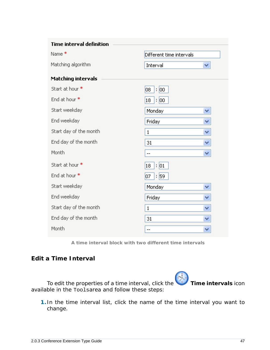| <b>Time interval definition</b> |                          |   |
|---------------------------------|--------------------------|---|
| Name <sup>*</sup>               | Different time intervals |   |
| Matching algorithm              | Interval                 | v |
| <b>Matching intervals</b>       |                          |   |
| Start at hour *                 | 08<br>: 00               |   |
| End at hour *                   | : 00<br>18               |   |
| Start weekday                   | Monday                   | × |
| End weekday                     | Friday                   | v |
| Start day of the month          | 1                        | v |
| End day of the month            | 31                       | v |
| Month                           | $-$                      | v |
| Start at hour *                 | : 01<br>18               |   |
| End at hour *                   | 07<br>: 59               |   |
| Start weekday                   | Monday                   | × |
| End weekday                     | Friday                   | ٧ |
| Start day of the month          | 1                        | v |
| End day of the month            | 31                       | v |
| Month                           | $-$                      | ٧ |

**A time interval block with two different time intervals**

### **Edit a Time Interval**

To edit the properties of a time interval, click the **Time intervals** icon available in the Toolsarea and follow these steps:

**1.** In the time interval list, click the name of the time interval you want to change.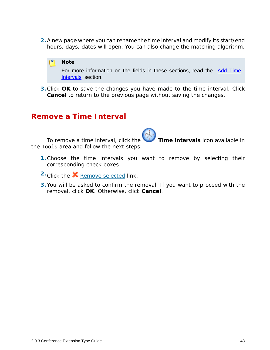**2.**A new page where you can rename the time interval and modify its start/end hours, days, dates will open. You can also change the matching algorithm.



**3.**Click **OK** to save the changes you have made to the time interval. Click **Cancel** to return to the previous page without saving the changes.

### **Remove a Time Interval**

To remove a time interval, click the **Time intervals** icon available in the Tools area and follow the next steps:

- **1.**Choose the time intervals you want to remove by selecting their corresponding check boxes.
- 2. Click the **X** Remove selected link.
- **3.**You will be asked to confirm the removal. If you want to proceed with the removal, click **OK**. Otherwise, click **Cancel**.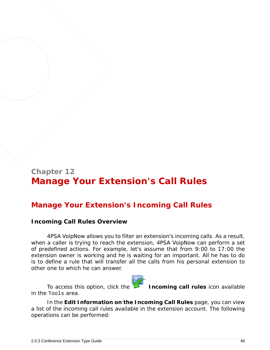# **Chapter 12 Manage Your Extension's Call Rules**

## **Manage Your Extension's Incoming Call Rules**

### **Incoming Call Rules Overview**

4PSA VoipNow allows you to filter an extension's incoming calls. As a result, when a caller is trying to reach the extension, 4PSA VoipNow can perform a set of predefined actions. For example, let's assume that from 9:00 to 17:00 the extension owner is working and he is waiting for an important. All he has to do is to define a rule that will transfer all the calls from his personal extension to other one to which he can answer.



To access this option, click the **Incoming call rules** icon available

In the **Edit Information on the Incoming Call Rules** page, you can view a list of the incoming call rules available in the extension account. The following operations can be performed:

in the Tools area.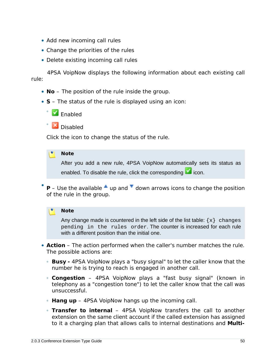- Add new incoming call rules
- Change the priorities of the rules
- Delete existing incoming call rules

4PSA VoipNow displays the following information about each existing call rule:

- **No** The position of the rule inside the group.
- **S** The status of the rule is displayed using an icon:



◦ **X** Disabled

Click the icon to change the status of the rule.

#### r۹ **Note**

After you add a new rule, 4PSA VoipNow automatically sets its status as enabled. To disable the rule, click the corresponding  $\blacksquare$  icon.

• **P** – Use the available  $\triangleq$  up and  $\triangleq$  down arrows icons to change the position of the rule in the group.

#### **Note**

Any change made is countered in the left side of the list table:  $\{x\}$  changes pending in the rules order. The counter is increased for each rule with a different position than the initial one.

- **Action** The action performed when the caller's number matches the rule. The possible actions are:
	- **Busy** 4PSA VoipNow plays a "busy signal" to let the caller know that the number he is trying to reach is engaged in another call.
	- **Congestion** 4PSA VoipNow plays a "fast busy signal" (known in telephony as a "congestion tone") to let the caller know that the call was unsuccessful.
	- **Hang up** 4PSA VoipNow hangs up the incoming call.
	- **Transfer to internal** 4PSA VoipNow transfers the call to another extension on the same client account if the called extension has assigned to it a charging plan that allows calls to internal destinations and **Multi-**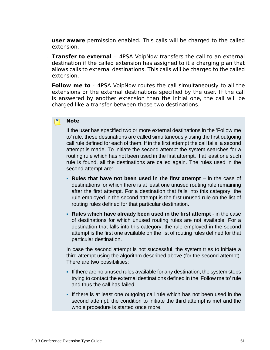**user aware** permission enabled. This calls will be charged to the called extension.

- **Transfer to external** 4PSA VoipNow transfers the call to an external destination if the called extension has assigned to it a charging plan that allows calls to external destinations. This calls will be charged to the called extension.
- **Follow me to** 4PSA VoipNow routes the call simultaneously to all the extensions or the external destinations specified by the user. If the call is answered by another extension than the initial one, the call will be charged like a transfer between those two destinations.

#### **Note**

If the user has specified two or more external destinations in the 'Follow me to' rule, these destinations are called simultaneously using the first outgoing call rule defined for each of them. If in the first attempt the call fails, a second attempt is made. To initiate the second attempt the system searches for a routing rule which has not been used in the first attempt. If at least one such rule is found, all the destinations are called again. The rules used in the second attempt are:

- **Rules that have not been used in the first attempt** in the case of destinations for which there is at least one unused routing rule remaining after the first attempt. For a destination that falls into this category, the rule employed in the second attempt is the first unused rule on the list of routing rules defined for that particular destination.
- **Rules which have already been used in the first attempt** in the case of destinations for which unused routing rules are not available. For a destination that falls into this category, the rule employed in the second attempt is the first one available on the list of routing rules defined for that particular destination.

In case the second attempt is not successful, the system tries to initiate a third attempt using the algorithm described above (for the second attempt). There are two possibilities:

- If there are no unused rules available for any destination, the system stops trying to contact the external destinations defined in the 'Follow me to' rule and thus the call has failed.
- If there is at least one outgoing call rule which has not been used in the second attempt, the condition to initiate the third attempt is met and the whole procedure is started once more.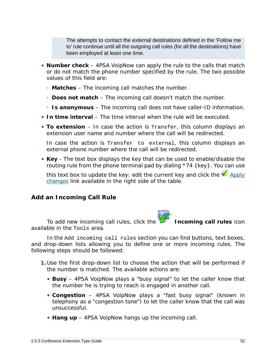The attempts to contact the external destinations defined in the 'Follow me to' rule continue until all the outgoing call rules (for all the destinations) have been employed at least one time.

- **Number check** 4PSA VoipNow can apply the rule to the calls that match or do not match the phone number specified by the rule. The two possible values of this field are:
	- **Matches** The incoming call matches the number.
	- **Does not match** The incoming call doesn't match the number.
	- **Is anonymous** The incoming call does not have caller-ID information.
- **In time interval** The time interval when the rule will be executed.
- **To extension** In case the action is Transfer, this column displays an extension user name and number where the call will be redirected.

In case the action is Transfer to external, this column displays an external phone number where the call will be redirected.

• **Key** - The text box displays the key that can be used to enable/disable the routing rule from the phone terminal pad by dialing  $*74$  {key}. You can use

this text box to update the key: edit the current key and click the  $\blacklozenge$  Apply changes link available in the right side of the table.

**Add an Incoming Call Rule**

To add new incoming call rules, click the **Incoming call rules** icon available in the Tools area.

In the Add incoming call rules section you can find buttons, text boxes, and drop-down lists allowing you to define one or more incoming rules. The following steps should be followed:

- **1.**Use the first drop-down list to choose the action that will be performed if the number is matched. The available actions are:
	- **Busy** 4PSA VoipNow plays a "busy signal" to let the caller know that the number he is trying to reach is engaged in another call.
	- **Congestion** 4PSA VoipNow plays a "fast busy signal" (known in telephony as a "congestion tone") to let the caller know that the call was unsuccessful.
	- **Hang up** 4PSA VoipNow hangs up the incoming call.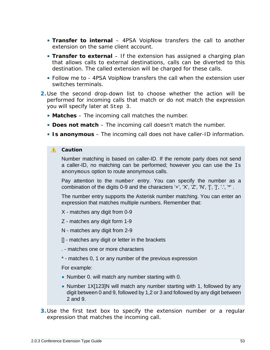- **Transfer to internal** 4PSA VoipNow transfers the call to another extension on the same client account.
- **Transfer to external** If the extension has assigned a charging plan that allows calls to external destinations, calls can be diverted to this destination. The called extension will be charged for these calls.
- *Follow me to* 4PSA VoipNow transfers the call when the extension user switches terminals.
- **2.**Use the second drop-down list to choose whether the action will be performed for incoming calls that match or do not match the expression you will specify later at Step 3.
	- **Matches** The incoming call matches the number.
	- **Does not match** The incoming call doesn't match the number.
	- **Is anonymous** The incoming call does not have caller-ID information.

#### **A** Caution

Number matching is based on caller-ID. If the remote party does not send a caller-ID, no matching can be performed; however you can use the Is anonymous option to route anonymous calls.

Pay attention to the number entry. You can specify the number as a combination of the digits 0-9 and the characters '+', 'X', 'Z', 'N', '[', ']', '.', '\*'.

The number entry supports the Asterisk number matching. You can enter an expression that matches multiple numbers. Remember that:

- X matches any digit from 0-9
- Z matches any digit form 1-9
- N matches any digit from 2-9
- [] matches any digit or letter in the brackets
- . matches one or more characters
- \* matches 0, 1 or any number of the previous expression

For example:

- Number 0. will match any number starting with 0.
- Number 1X[123]N will match any number starting with 1, followed by any digit between 0 and 9, followed by 1,2 or 3 and followed by any digit between 2 and 9.
- **3.**Use the first text box to specify the extension number or a regular expression that matches the incoming call.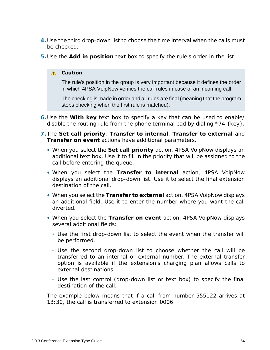- **4.**Use the third drop-down list to choose the time interval when the calls must be checked.
- **5.**Use the **Add in position** text box to specify the rule's order in the list.

### **A** Caution

The rule's position in the group is very important because it defines the order in which 4PSA VoipNow verifies the call rules in case of an incoming call.

The checking is made in order and all rules are final (meaning that the program stops checking when the first rule is matched).

- **6.**Use the **With key** text box to specify a key that can be used to enable/ disable the routing rule from the phone terminal pad by dialing  $*74$  {key}.
- **7.**The **Set call priority**, **Transfer to internal**, **Transfer to external** and **Transfer on event** actions have additional parameters.
	- When you select the **Set call priority** action, 4PSA VoipNow displays an additional text box. Use it to fill in the priority that will be assigned to the call before entering the queue.
	- When you select the **Transfer to internal** action, 4PSA VoipNow displays an additional drop-down list. Use it to select the final extension destination of the call.
	- When you select the **Transfer to external** action, 4PSA VoipNow displays an additional field. Use it to enter the number where you want the call diverted.
	- When you select the **Transfer on event** action, 4PSA VoipNow displays several additional fields:
		- Use the first drop-down list to select the event when the transfer will be performed.
		- Use the second drop-down list to choose whether the call will be transferred to an internal or external number. The external transfer option is available if the extension's charging plan allows calls to external destinations.
		- Use the last control (drop-down list or text box) to specify the final destination of the call.

The example below means that if a call from number 555122 arrives at 13:30, the call is transferred to extension 0006.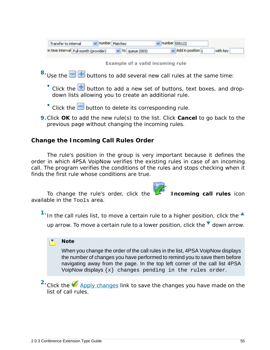| Transfer to internal                  | $\vee$ number Matches |                       | $\vee$ number 555122     |          |  |
|---------------------------------------|-----------------------|-----------------------|--------------------------|----------|--|
| n time interval Full month (provider) |                       | $\vee$ to queue (003) | $\vee$ Add in position 1 | with key |  |
|                                       |                       |                       |                          |          |  |

**Example of a valid incoming rule**

- $8.8$  Use the  $\Box$  **+** buttons to add several new call rules at the same time:
	- $\bullet$  Click the  $\overline{\textbf{+}}$  button to add a new set of buttons, text boxes, and dropdown lists allowing you to create an additional rule.
	- $\bullet$  Click the  $\Box$  button to delete its corresponding rule.
- **9.**Click **OK** to add the new rule(s) to the list. Click **Cancel** to go back to the previous page without changing the incoming rules.

**Change the Incoming Call Rules Order**

The rule's position in the group is very important because it defines the order in which 4PSA VoipNow verifies the existing rules in case of an incoming call. The program verifies the conditions of the rules and stops checking when it finds the first rule whose conditions are true.

To change the rule's order, click the **Incoming call rules** icon available in the Tools area.

<sup>1</sup>. In the call rules list, to move a certain rule to a higher position, click the  $\triangle$ up arrow. To move a certain rule to a lower position, click the  $\blacksquare$  down arrow.

**Note**

When you change the order of the call rules in the list, 4PSA VoipNow displays the number of changes you have performed to remind you to save them before navigating away from the page. In the top left corner of the call list 4PSA VoipNow displays  $\{x\}$  changes pending in the rules order.

<sup>2</sup>. Click the **Apply changes link to save the changes you have made on the** list of call rules.

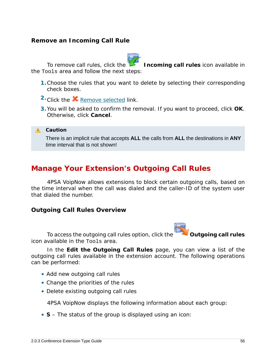### **Remove an Incoming Call Rule**



To remove call rules, click the **Incoming call rules** icon available in the Tools area and follow the next steps:

- **1.**Choose the rules that you want to delete by selecting their corresponding check boxes.
- 2. Click the **X** Remove selected link.
- **3.**You will be asked to confirm the removal. If you want to proceed, click **OK**. Otherwise, click **Cancel**.

**A** Caution

There is an implicit rule that accepts **ALL** the calls from **ALL** the destinations in **ANY** time interval that is not shown!

### **Manage Your Extension's Outgoing Call Rules**

4PSA VoipNow allows extensions to block certain outgoing calls, based on the time interval when the call was dialed and the caller-ID of the system user that dialed the number.

**Outgoing Call Rules Overview**



To access the outgoing call rules option, click the **Outgoing call rules** 

icon available in the Tools area.

In the **Edit the Outgoing Call Rules** page, you can view a list of the outgoing call rules available in the extension account. The following operations can be performed:

- Add new outgoing call rules
- Change the priorities of the rules
- Delete existing outgoing call rules

4PSA VoipNow displays the following information about each group:

• **S** – The status of the group is displayed using an icon: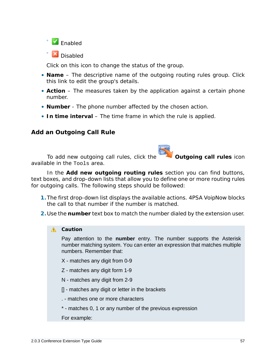

◦ **X** Disabled

Click on this icon to change the status of the group.

- **Name** The descriptive name of the outgoing routing rules group. Click this link to edit the group's details.
- **Action** The measures taken by the application against a certain phone number.
- **Number** The phone number affected by the chosen action.
- **In time interval** The time frame in which the rule is applied.

### **Add an Outgoing Call Rule**

To add new outgoing call rules, click the **Outgoing call rules** icon available in the Tools area.

In the **Add new outgoing routing rules** section you can find buttons, text boxes, and drop-down lists that allow you to define one or more routing rules for outgoing calls. The following steps should be followed:

- **1.**The first drop-down list displays the available actions. 4PSA VoipNow blocks the call to that number if the number is matched.
- **2.**Use the **number** text box to match the number dialed by the extension user.

#### **A** Caution

Pay attention to the **number** entry. The number supports the Asterisk number matching system. You can enter an expression that matches multiple numbers. Remember that:

- X matches any digit from 0-9
- Z matches any digit form 1-9
- N matches any digit from 2-9
- [] matches any digit or letter in the brackets
- . matches one or more characters
- \* matches 0, 1 or any number of the previous expression
- For example: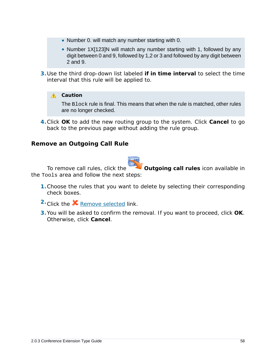- Number 0. will match any number starting with 0.
- Number 1X[123]N will match any number starting with 1, followed by any digit between 0 and 9, followed by 1,2 or 3 and followed by any digit between 2 and 9.
- **3.**Use the third drop-down list labeled **if in time interval** to select the time interval that this rule will be applied to.

### A Caution

The Block rule is final. This means that when the rule is matched, other rules are no longer checked.

**4.**Click **OK** to add the new routing group to the system. Click **Cancel** to go back to the previous page without adding the rule group.

**Remove an Outgoing Call Rule**



To remove call rules, click the **Outgoing call rules** icon available in the Tools area and follow the next steps:

- **1.**Choose the rules that you want to delete by selecting their corresponding check boxes.
- <sup>2</sup> Click the **X** Remove selected link.
- **3.**You will be asked to confirm the removal. If you want to proceed, click **OK**. Otherwise, click **Cancel**.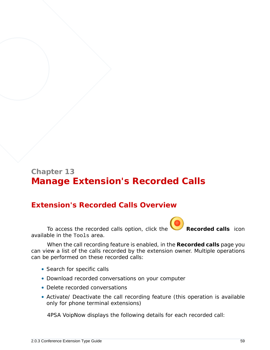# **Chapter 13 Manage Extension's Recorded Calls**

### **Extension's Recorded Calls Overview**

To access the recorded calls option, click the **Recorded calls** icon available in the Tools area.

When the call recording feature is enabled, in the **Recorded calls** page you can view a list of the calls recorded by the extension owner. Multiple operations can be performed on these recorded calls:

- Search for specific calls
- Download recorded conversations on your computer
- Delete recorded conversations
- Activate/ Deactivate the call recording feature (this operation is available only for phone terminal extensions)

4PSA VoipNow displays the following details for each recorded call: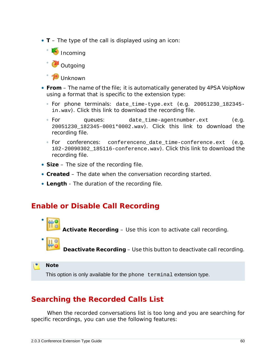• **T** – The type of the call is displayed using an icon:



- **From** The name of the file; it is automatically generated by 4PSA VoipNow using a format that is specific to the extension type:
	- For phone terminals: date\_time-type.ext (e.g. 20051230\_182345 in.wav). Click this link to download the recording file.
	- For queues: date\_time-agentnumber.ext (e.g. 20051230\_182345-0001\*0002.wav). Click this link to download the recording file.
	- For conferences: conferenceno\_date\_time-conference.ext (e.g. 102-20090302\_185116-conference.wav). Click this link to download the recording file.
- **Size** The size of the recording file.
- **Created** The date when the conversation recording started.
- **Length** The duration of the recording file.

### **Enable or Disable Call Recording**

- **Activate Recording** – Use this icon to activate call recording.
- •

 **Deactivate Recording** – Use this button to deactivate call recording.

**Note**

This option is only available for the phone terminal extension type.

## **Searching the Recorded Calls List**

When the recorded conversations list is too long and you are searching for specific recordings, you can use the following features: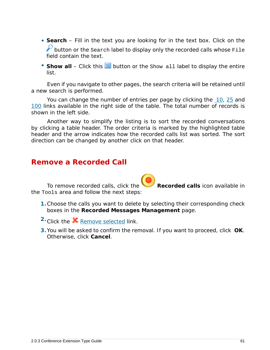- **Search** Fill in the text you are looking for in the text box. Click on the  $\blacktriangleright$  button or the Search label to display only the recorded calls whose File field contain the text.
- Show all Click this  $\equiv$  button or the Show all label to display the entire list.

Even if you navigate to other pages, the search criteria will be retained until a new search is performed.

You can change the number of entries per page by clicking the 10, 25 and 100 links available in the right side of the table. The total number of records is shown in the left side.

Another way to simplify the listing is to sort the recorded conversations by clicking a table header. The order criteria is marked by the highlighted table header and the arrow indicates how the recorded calls list was sorted. The sort direction can be changed by another click on that header.

### **Remove a Recorded Call**

To remove recorded calls, click the **Recorded calls** icon available in the Tools area and follow the next steps:

- **1.**Choose the calls you want to delete by selecting their corresponding check boxes in the **Recorded Messages Management** page.
- 2. Click the **X** Remove selected link.
- **3.**You will be asked to confirm the removal. If you want to proceed, click **OK**. Otherwise, click **Cancel**.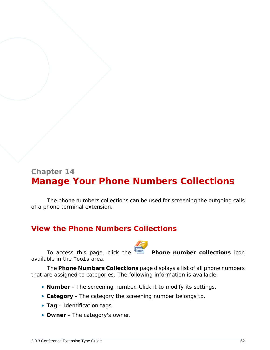# **Chapter 14 Manage Your Phone Numbers Collections**

The phone numbers collections can be used for screening the outgoing calls of a phone terminal extension.

## **View the Phone Numbers Collections**

To access this page, click the **Phone number collections** icon available in the Tools area.

The **Phone Numbers Collections** page displays a list of all phone numbers that are assigned to categories. The following information is available:

- **Number** The screening number. Click it to modify its settings.
- **Category** The category the screening number belongs to.
- **Tag** Identification tags.
- **Owner** The category's owner.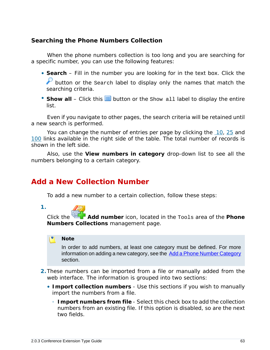**Searching the Phone Numbers Collection**

When the phone numbers collection is too long and you are searching for a specific number, you can use the following features:

- **Search** Fill in the number you are looking for in the text box. Click the button or the search label to display only the names that match the searching criteria.
- Show all Click this  $\equiv$  button or the Show all label to display the entire list.

Even if you navigate to other pages, the search criteria will be retained until a new search is performed.

You can change the number of entries per page by clicking the 10, 25 and 100 links available in the right side of the table. The total number of records is shown in the left side.

<span id="page-62-0"></span>Also, use the **View numbers in category** drop-down list to see all the numbers belonging to a certain category.

### **Add a New Collection Number**

To add a new number to a certain collection, follow these steps:

**1.**

Click the **Add number** icon, located in the Tools area of the **Phone Numbers Collections** management page.

#### r. **Note**

In order to add numbers, at least one category must be defined. For more information on adding a new category, see the [Add a Phone Number Category](#page-65-0) section.

- **2.**These numbers can be imported from a file or manually added from the web interface. The information is grouped into two sections:
	- **Import collection numbers** Use this sections if you wish to manually import the numbers from a file.
		- **Import numbers from file** Select this check box to add the collection numbers from an existing file. If this option is disabled, so are the next two fields.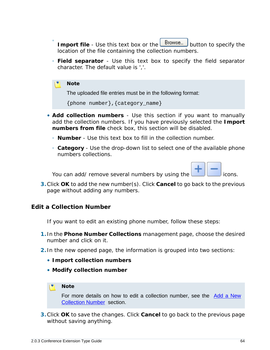- Import file Use this text box or the **Browse...** button to specify the location of the file containing the collection numbers.
- **Field separator** Use this text box to specify the field separator character. The default value is ','.

#### **Note**

 $\ddot{\circ}$ 

The uploaded file entries must be in the following format:

```
{phone number},{category_name}
```
- **Add collection numbers** Use this section if you want to manually add the collection numbers. If you have previously selected the **Import numbers from file** check box, this section will be disabled.
	- **Number** Use this text box to fill in the collection number.
	- **Category** Use the drop-down list to select one of the available phone numbers collections.

You can add/ remove several numbers by using the **interest and the constant of the interest** icons.

**3.**Click **OK** to add the new number(s). Click **Cancel** to go back to the previous page without adding any numbers.

**Edit a Collection Number**

If you want to edit an existing phone number, follow these steps:

- **1.** In the **Phone Number Collections** management page, choose the desired number and click on it.
- **2.** In the new opened page, the information is grouped into two sections:
	- **Import collection numbers**
	- **Modify collection number**

#### **Note**

For more details on how to edit a collection number, see the [Add a New](#page-62-0) [Collection Number](#page-62-0) section.

**3.**Click **OK** to save the changes. Click **Cancel** to go back to the previous page without saving anything.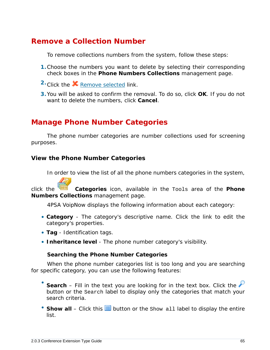### **Remove a Collection Number**

To remove collections numbers from the system, follow these steps:

- **1.**Choose the numbers you want to delete by selecting their corresponding check boxes in the **Phone Numbers Collections** management page.
- 2. Click the **X** Remove selected link.
- **3.**You will be asked to confirm the removal. To do so, click **OK**. If you do not want to delete the numbers, click **Cancel**.

### **Manage Phone Number Categories**

The phone number categories are number collections used for screening purposes.

**View the Phone Number Categories**

In order to view the list of all the phone numbers categories in the system,

click the **Categories** icon, available in the Tools area of the **Phone Numbers Collections** management page.

4PSA VoipNow displays the following information about each category:

- **Category** The category's descriptive name. Click the link to edit the category's properties.
- **Tag** Identification tags.
- **Inheritance level** The phone number category's visibility.

**Searching the Phone Number Categories**

When the phone number categories list is too long and you are searching for specific category, you can use the following features:

- Search – Fill in the text you are looking for in the text box. Click the button or the Search label to display only the categories that match your search criteria.
- Show all Click this  $\equiv$  button or the Show all label to display the entire list.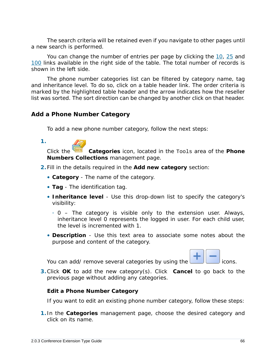The search criteria will be retained even if you navigate to other pages until a new search is performed.

You can change the number of entries per page by clicking the 10, 25 and 100 links available in the right side of the table. The total number of records is shown in the left side.

The phone number categories list can be filtered by category name, tag and inheritance level. To do so, click on a table header link. The order criteria is marked by the highlighted table header and the arrow indicates how the reseller list was sorted. The sort direction can be changed by another click on that header.

<span id="page-65-0"></span>**Add a Phone Number Category**

To add a new phone number category, follow the next steps:

| ٧<br>٠. |  |
|---------|--|
|         |  |
|         |  |
|         |  |

Click the **Categories** icon, located in the Tools area of the **Phone Numbers Collections** management page.

- **2.**Fill in the details required in the **Add new category** section:
	- **Category** The name of the category.
	- **Tag** The identification tag.
	- **Inheritance level** Use this drop-down list to specify the category's visibility:
		- 0 The category is visible only to the extension user. Always, inheritance level 0 represents the logged in user. For each child user, the level is incremented with 1.
	- **Description** Use this text area to associate some notes about the purpose and content of the category.

You can add/ remove several categories by using the  $\Box$  icons.



**3.**Click **OK** to add the new category(s). Click **Cancel** to go back to the previous page without adding any categories.

**Edit a Phone Number Category**

If you want to edit an existing phone number category, follow these steps:

**1.** In the **Categories** management page, choose the desired category and click on its name.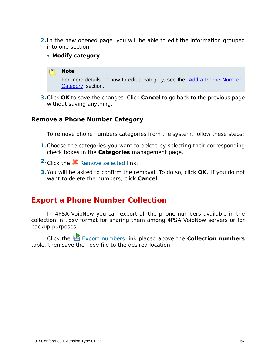- **2.** In the new opened page, you will be able to edit the information grouped into one section:
	- **Modify category**

#### **Note**

For more details on how to edit a category, see the [Add a Phone Number](#page-65-0) [Category](#page-65-0) section.

**3.**Click **OK** to save the changes. Click **Cancel** to go back to the previous page without saving anything.

### **Remove a Phone Number Category**

To remove phone numbers categories from the system, follow these steps:

- **1.**Choose the categories you want to delete by selecting their corresponding check boxes in the **Categories** management page.
- 2. Click the **X** Remove selected link.
- **3.**You will be asked to confirm the removal. To do so, click **OK**. If you do not want to delete the numbers, click **Cancel**.

### **Export a Phone Number Collection**

In 4PSA VoipNow you can export all the phone numbers available in the collection in .csv format for sharing them among 4PSA VoipNow servers or for backup purposes.

Click the Export numbers link placed above the **Collection numbers** table, then save the .csv file to the desired location.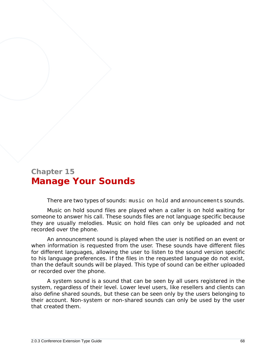# **Chapter 15 Manage Your Sounds**

There are two types of sounds: music on hold and announcements sounds.

Music on hold sound files are played when a caller is on hold waiting for someone to answer his call. These sounds files are not language specific because they are usually melodies. Music on hold files can only be uploaded and not recorded over the phone.

An announcement sound is played when the user is notified on an event or when information is requested from the user. These sounds have different files for different languages, allowing the user to listen to the sound version specific to his language preferences. If the files in the requested language do not exist, than the default sounds will be played. This type of sound can be either uploaded or recorded over the phone.

A system sound is a sound that can be seen by all users registered in the system, regardless of their level. Lower level users, like resellers and clients can also define shared sounds, but these can be seen only by the users belonging to their account. Non-system or non-shared sounds can only be used by the user that created them.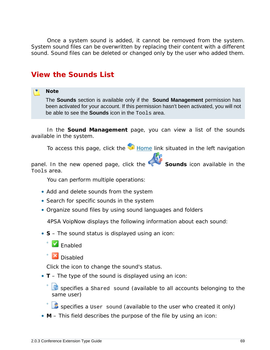Once a system sound is added, it cannot be removed from the system. System sound files can be overwritten by replacing their content with a different sound. Sound files can be deleted or changed only by the user who added them.

### **View the Sounds List**

#### **Note**

The **Sounds** section is available only if the **Sound Management** permission has been activated for your account. If this permission hasn't been activated, you will not be able to see the **Sounds** icon in the Tools area.

In the **Sound Management** page, you can view a list of the sounds available in the system.

To access this page, click the  $\blacksquare$  Home link situated in the left navigation

panel. In the new opened page, click the **Sounds** icon available in the Tools area.

You can perform multiple operations:

- Add and delete sounds from the system
- Search for specific sounds in the system
- Organize sound files by using sound languages and folders

4PSA VoipNow displays the following information about each sound:

- **S** The sound status is displayed using an icon:
	- $\blacksquare$  Enabled

◦

◦

**X** Disabled

Click the icon to change the sound's status.

• **T** – The type of the sound is displayed using an icon:

◦ specifies a Shared sound (available to all accounts belonging to the same user)

specifies a User sound (available to the user who created it only)

• **M** – This field describes the purpose of the file by using an icon: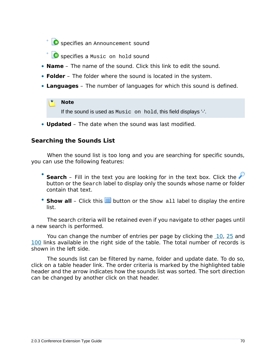◦ **O** specifies an Announcement sound

- **O** specifies a Music on hold sound
- **Name** The name of the sound. Click this link to edit the sound.
- **Folder** The folder where the sound is located in the system.
- **Languages** The number of languages for which this sound is defined.

### **Note**

If the sound is used as Music on hold, this field displays '-'.

• **Updated** – The date when the sound was last modified.

### **Searching the Sounds List**

When the sound list is too long and you are searching for specific sounds, you can use the following features:

- Search – Fill in the text you are looking for in the text box. Click the button or the Search label to display only the sounds whose name or folder contain that text.
- Show all Click this **in** button or the Show all label to display the entire list.

The search criteria will be retained even if you navigate to other pages until a new search is performed.

You can change the number of entries per page by clicking the 10, 25 and 100 links available in the right side of the table. The total number of records is shown in the left side.

The sounds list can be filtered by name, folder and update date. To do so, click on a table header link. The order criteria is marked by the highlighted table header and the arrow indicates how the sounds list was sorted. The sort direction can be changed by another click on that header.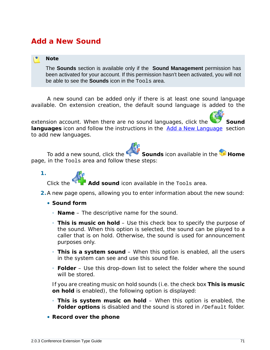## **Add a New Sound**

#### **Note**

The **Sounds** section is available only if the **Sound Management** permission has been activated for your account. If this permission hasn't been activated, you will not be able to see the **Sounds** icon in the Tools area.

A new sound can be added only if there is at least one sound language available. On extension creation, the default sound language is added to the

extension account. When there are no sound languages, click the **Sound** languages icon and follow the instructions in the **Add a New Language** section to add new languages.

To add a new sound, click the **Sounds** icon available in the **H** Home page, in the Tools area and follow these steps:



Add sound icon available in the Tools area.

- **2.**A new page opens, allowing you to enter information about the new sound:
	- **Sound form**
		- **Name** The descriptive name for the sound.
		- **This is music on hold** Use this check box to specify the purpose of the sound. When this option is selected, the sound can be played to a caller that is on hold. Otherwise, the sound is used for announcement purposes only.
		- **This is a system sound** When this option is enabled, all the users in the system can see and use this sound file.
		- **Folder** Use this drop-down list to select the folder where the sound will be stored.

If you are creating music on hold sounds (i.e. the check box **This is music on hold** is enabled), the following option is displayed:

- **This is system music on hold** When this option is enabled, the **Folder options** is disabled and the sound is stored in /Default folder.
- **Record over the phone**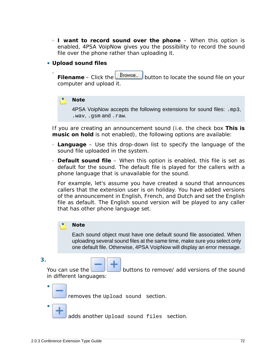- **I want to record sound over the phone** When this option is enabled, 4PSA VoipNow gives you the possibility to record the sound file over the phone rather than uploading it.
- **Upload sound files**
	- Filename – Click the **Browse...** button to locate the sound file on your computer and upload it.

**Note**

4PSA VoipNow accepts the following extensions for sound files: .mp3, .wav, .gsm and .raw.

If you are creating an announcement sound (i.e. the check box **This is music on hold** is not enabled), the following options are available:

- **Language** Use this drop-down list to specify the language of the sound file uploaded in the system.
- **Default sound file** When this option is enabled, this file is set as default for the sound. The default file is played for the callers with a phone language that is unavailable for the sound.

For example, let's assume you have created a sound that announces callers that the extension user is on holiday. You have added versions of the announcement in English, French, and Dutch and set the English file as default. The English sound version will be played to any caller that has other phone language set.

#### **Note**

Each sound object must have one default sound file associated. When uploading several sound files at the same time, make sure you select only one default file. Otherwise, 4PSA VoipNow will display an error message.

**3.**

•

•

You can use the **buttons to remove/** add versions of the sound in different languages:

removes the Upload sound section.

adds another Upload sound files section.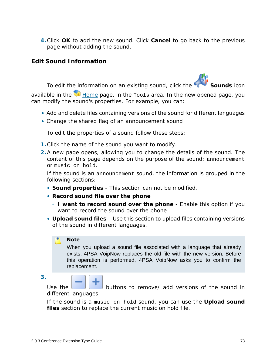**4.**Click **OK** to add the new sound. Click **Cancel** to go back to the previous page without adding the sound.

**Edit Sound Information**

To edit the information on an existing sound, click the **Sounds** icon

available in the  $\blacksquare$  Home page, in the  $\texttt{Tools}$  area. In the new opened page, you can modify the sound's properties. For example, you can:

- Add and delete files containing versions of the sound for different languages
- Change the shared flag of an announcement sound

To edit the properties of a sound follow these steps:

- **1.**Click the name of the sound you want to modify.
- **2.**A new page opens, allowing you to change the details of the sound. The content of this page depends on the purpose of the sound: announcement or music on hold.

If the sound is an announcement sound, the information is grouped in the following sections:

- **Sound properties** This section can not be modified.
- **Record sound file over the phone**
	- **I want to record sound over the phone** Enable this option if you want to record the sound over the phone.
- **Upload sound files** Use this section to upload files containing versions of the sound in different languages.

## **Note**

When you upload a sound file associated with a language that already exists, 4PSA VoipNow replaces the old file with the new version. Before this operation is performed, 4PSA VoipNow asks you to confirm the replacement.

**3.**

Use the **buttons to remove** add versions of the sound in different languages.

If the sound is a music on hold sound, you can use the **Upload sound files** section to replace the current music on hold file.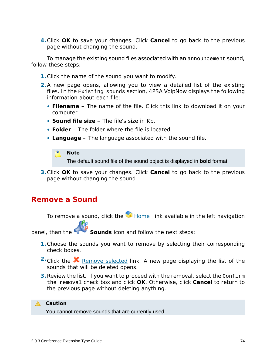**4.**Click **OK** to save your changes. Click **Cancel** to go back to the previous page without changing the sound.

To manage the existing sound files associated with an announcement sound, follow these steps:

- **1.**Click the name of the sound you want to modify.
- **2.**A new page opens, allowing you to view a detailed list of the existing files. In the Existing sounds section, 4PSA VoipNow displays the following information about each file:
	- **Filename** The name of the file. Click this link to download it on your computer.
	- **Sound file size** The file's size in Kb.
	- **Folder** The folder where the file is located.
	- **Language** The language associated with the sound file.

### P. **Note**

The default sound file of the sound object is displayed in **bold** format.

**3.**Click **OK** to save your changes. Click **Cancel** to go back to the previous page without changing the sound.

## **Remove a Sound**

To remove a sound, click the **H**ome link available in the left navigation

panel, than the **Sounds** icon and follow the next steps:

- **1.**Choose the sounds you want to remove by selecting their corresponding check boxes.
- <sup>2</sup> Click the **X** Remove selected link. A new page displaying the list of the sounds that will be deleted opens.
- **3.**Review the list. If you want to proceed with the removal, select the Confirm the removal check box and click **OK**. Otherwise, click **Cancel** to return to the previous page without deleting anything.

## **A** Caution

You cannot remove sounds that are currently used.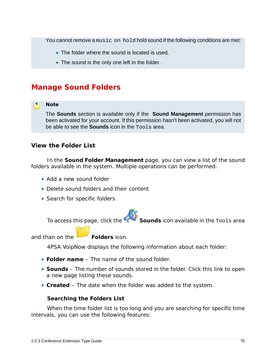You cannot remove a music on hold hold sound if the following conditions are met:

- The folder where the sound is located is used.
- The sound is the only one left in the folder.

# **Manage Sound Folders**

## **Note**

The **Sounds** section is available only if the **Sound Management** permission has been activated for your account. If this permission hasn't been activated, you will not be able to see the **Sounds** icon in the Tools area.

**View the Folder List**

In the **Sound Folder Management** page, you can view a list of the sound folders available in the system. Multiple operations can be performed:

- Add a new sound folder
- Delete sound folders and their content
- Search for specific folders

To access this page, click the **Sounds** icon available in the Tools area

and than on the **Folders** icon.

4PSA VoipNow displays the following information about each folder:

- **Folder name** The name of the sound folder.
- **Sounds** The number of sounds stored in the folder. Click this link to open a new page listing these sounds.
- **Created** The date when the folder was added to the system.

**Searching the Folders List**

When the time folder list is too long and you are searching for specific time intervals, you can use the following features: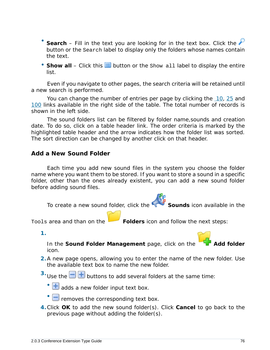- Search – Fill in the text you are looking for in the text box. Click the button or the Search label to display only the folders whose names contain the text.
- Show all Click this  $\equiv$  button or the Show all label to display the entire list.

Even if you navigate to other pages, the search criteria will be retained until a new search is performed.

You can change the number of entries per page by clicking the 10, 25 and 100 links available in the right side of the table. The total number of records is shown in the left side.

The sound folders list can be filtered by folder name,sounds and creation date. To do so, click on a table header link. The order criteria is marked by the highlighted table header and the arrow indicates how the folder list was sorted. The sort direction can be changed by another click on that header.

## **Add a New Sound Folder**

Each time you add new sound files in the system you choose the folder name where you want them to be stored. If you want to store a sound in a specific folder, other than the ones already existent, you can add a new sound folder before adding sound files.

To create a new sound folder, click the **Sounds** icon available in the

Tools area and than on the **Folders** icon and follow the next steps:

**1.**

In the Sound Folder Management page, click on the icon.

- **2.**A new page opens, allowing you to enter the name of the new folder. Use the available text box to name the new folder.
- <sup>3.</sup> Use the  $\Box$  **b** buttons to add several folders at the same time:

 $\cdot$   $\blacksquare$  adds a new folder input text box.

- $\Box$  removes the corresponding text box.
- **4.**Click **OK** to add the new sound folder(s). Click **Cancel** to go back to the previous page without adding the folder(s).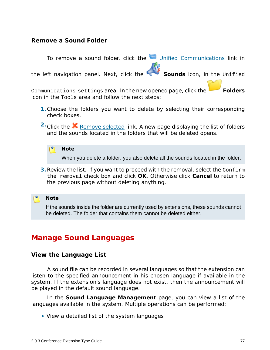## **Remove a Sound Folder**

To remove a sound folder, click the Unified Communications link in the left navigation panel. Next, click the **Sounds** icon, in the Unified Communications settings area. In the new opened page, click the **Folders** icon in the Tools area and follow the next steps:

- **1.**Choose the folders you want to delete by selecting their corresponding check boxes.
- <sup>2</sup> Click the **X** Remove selected link. A new page displaying the list of folders and the sounds located in the folders that will be deleted opens.

**Note** When you delete a folder, you also delete all the sounds located in the folder.

**3.**Review the list. If you want to proceed with the removal, select the Confirm the removal check box and click **OK**. Otherwise click **Cancel** to return to the previous page without deleting anything.

**Note**

If the sounds inside the folder are currently used by extensions, these sounds cannot be deleted. The folder that contains them cannot be deleted either.

# **Manage Sound Languages**

**View the Language List**

A sound file can be recorded in several languages so that the extension can listen to the specified announcement in his chosen language if available in the system. If the extension's language does not exist, then the announcement will be played in the default sound language.

In the **Sound Language Management** page, you can view a list of the languages available in the system. Multiple operations can be performed:

• View a detailed list of the system languages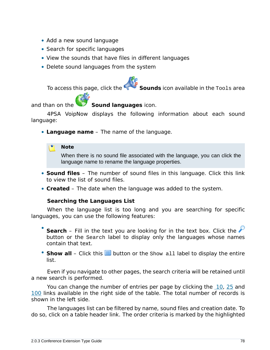- Add a new sound language
- Search for specific languages
- View the sounds that have files in different languages
- Delete sound languages from the system

To access this page, click the **Sounds** icon available in the Tools area

and than on the **Sound languages** icon.

4PSA VoipNow displays the following information about each sound language:

• **Language name** – The name of the language.

**Note**

When there is no sound file associated with the language, you can click the language name to rename the language properties.

- **Sound files** The number of sound files in this language. Click this link to view the list of sound files.
- **Created** The date when the language was added to the system.

**Searching the Languages List**

When the language list is too long and you are searching for specific languages, you can use the following features:

- Search – Fill in the text you are looking for in the text box. Click the button or the Search label to display only the languages whose names contain that text.
- Show all Click this  $\equiv$  button or the Show all label to display the entire list.

Even if you navigate to other pages, the search criteria will be retained until a new search is performed.

You can change the number of entries per page by clicking the 10, 25 and 100 links available in the right side of the table. The total number of records is shown in the left side.

The languages list can be filtered by name, sound files and creation date. To do so, click on a table header link. The order criteria is marked by the highlighted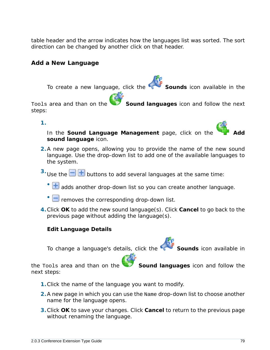table header and the arrow indicates how the languages list was sorted. The sort direction can be changed by another click on that header.

**Add a New Language**

To create a new language, click the **Sounds** icon available in the

Tools area and than on the **Sound languages** icon and follow the next steps:

**1.**

In the Sound Language Management page, click on the **sound language** icon.

- **2.**A new page opens, allowing you to provide the name of the new sound language. Use the drop-down list to add one of the available languages to the system.
- <sup>3.</sup> Use the  $\Box$   $\Box$  buttons to add several languages at the same time:
	- $\cdot$   $\textcolor{red}{\textbf{+}}$  adds another drop-down list so you can create another language.
	- $\Box$  removes the corresponding drop-down list.
- **4.**Click **OK** to add the new sound language(s). Click **Cancel** to go back to the previous page without adding the language(s).

**Edit Language Details**

To change a language's details, click the **Sounds** icon available in

the Tools area and than on the **Sound languages** icon and follow the next steps:

- **1.**Click the name of the language you want to modify.
- **2.**A new page in which you can use the Name drop-down list to choose another name for the language opens.
- **3.**Click **OK** to save your changes. Click **Cancel** to return to the previous page without renaming the language.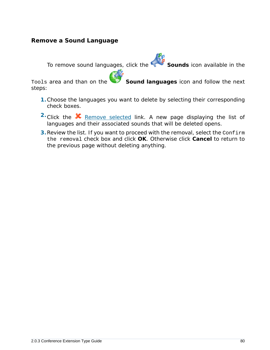## **Remove a Sound Language**

To remove sound languages, click the **Sounds** icon available in the

Tools area and than on the **Sound languages** icon and follow the next steps:

- **1.**Choose the languages you want to delete by selecting their corresponding check boxes.
- <sup>2</sup> Click the **K** Remove selected link. A new page displaying the list of languages and their associated sounds that will be deleted opens.
- **3.**Review the list. If you want to proceed with the removal, select the Confirm the removal check box and click **OK**. Otherwise click **Cancel** to return to the previous page without deleting anything.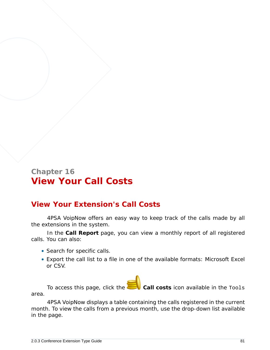# **Chapter 16 View Your Call Costs**

# **View Your Extension's Call Costs**

4PSA VoipNow offers an easy way to keep track of the calls made by all the extensions in the system.

In the **Call Report** page, you can view a monthly report of all registered calls. You can also:

- Search for specific calls.
- Export the call list to a file in one of the available formats: Microsoft Excel or CSV.

To access this page, click the **Call costs** icon available in the Tools area.

4PSA VoipNow displays a table containing the calls registered in the current month. To view the calls from a previous month, use the drop-down list available in the page.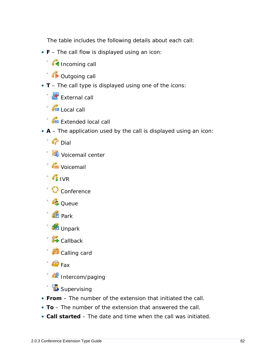The table includes the following details about each call:

- **F** The call flow is displayed using an icon:
	- Incoming call
	- Outgoing call
- **T** The call type is displayed using one of the icons:
	- **External call**
	- G Local call
	- **Cu** Extended local call
- **A** The application used by the call is displayed using an icon:
	- Dial
	- Voicemail center
	- Voicemail
	- IVR
	- Conference
	- Queue
	- Park
	- Unpark
	- **Callback**
	- Calling card
	- $\mathbb{F}_{\text{max}}$
	- Intercom/paging
	- **B** Supervising
- **From** The number of the extension that initiated the call.
- **To** The number of the extension that answered the call.
- **Call started** The date and time when the call was initiated.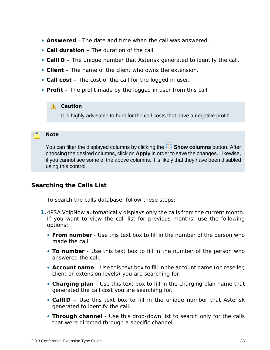- **Answered** The date and time when the call was answered.
- **Call duration** The duration of the call.
- **CallID** The unique number that Asterisk generated to identify the call.
- **Client** The name of the client who owns the extension.
- **Call cost** The cost of the call for the logged in user.
- **Profit** The profit made by the logged in user from this call.

## **A** Caution

It is highly advisable to hunt for the call costs that have a negative profit!

## **Note**

You can filter the displayed columns by clicking the **BE Show columns** button. After choosing the desired columns, click on **Apply** in order to save the changes. Likewise, if you cannot see some of the above columns, it is likely that they have been disabled using this control.

## **Searching the Calls List**

To search the calls database, follow these steps:

- **1.**4PSA VoipNow automatically displays only the calls from the current month. If you want to view the call list for previous months, use the following options:
	- **From number** Use this text box to fill in the number of the person who made the call.
	- **To number** Use this text box to fill in the number of the person who answered the call.
	- **Account name** Use this text box to fill in the account name (on reseller, client or extension levels) you are searching for.
	- **Charging plan**  Use this text box to fill in the charging plan name that generated the call cost you are searching for.
	- **CallID** Use this text box to fill in the unique number that Asterisk generated to identify the call.
	- **Through channel** Use this drop-down list to search only for the calls that were directed through a specific channel.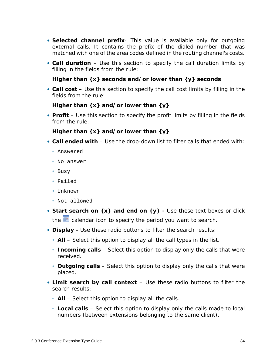- **Selected channel prefix** This value is available only for outgoing external calls. It contains the prefix of the dialed number that was matched with one of the area codes defined in the routing channel's costs.
- **Call duration** Use this section to specify the call duration limits by filling in the fields from the rule:

**Higher than {x} seconds and/or lower than {y} seconds**

• **Call cost** – Use this section to specify the call cost limits by filling in the fields from the rule:

```
Higher than {x} and/or lower than {y}
```
• **Profit** – Use this section to specify the profit limits by filling in the fields from the rule:

**Higher than {x} and/or lower than {y}**

- **Call ended with** Use the drop-down list to filter calls that ended with:
	- Answered
	- No answer
	- Busy
	- Failed
	- Unknown
	- Not allowed
- Start search on {x} and end on {y} Use these text boxes or click the  $\equiv$  calendar icon to specify the period you want to search.
- **Display -** Use these radio buttons to filter the search results:
	- **All** Select this option to display all the call types in the list.
	- **Incoming calls** Select this option to display only the calls that were received.
	- **Outgoing calls** Select this option to display only the calls that were placed.
- **Limit search by call context** Use these radio buttons to filter the search results:
	- **All** Select this option to display all the calls.
	- **Local calls** Select this option to display only the calls made to local numbers (between extensions belonging to the same client).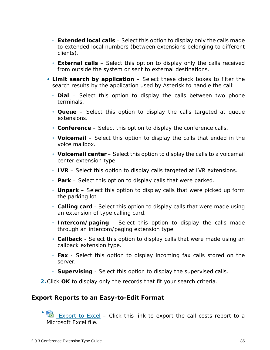- **Extended local calls** Select this option to display only the calls made to extended local numbers (between extensions belonging to different clients).
- **External calls** Select this option to display only the calls received from outside the system or sent to external destinations.
- **Limit search by application** Select these check boxes to filter the search results by the application used by Asterisk to handle the call:
	- **Dial** Select this option to display the calls between two phone terminals.
	- **Queue** Select this option to display the calls targeted at queue extensions.
	- **Conference** Select this option to display the conference calls.
	- **Voicemail** Select this option to display the calls that ended in the voice mailbox.
	- **Voicemail center** Select this option to display the calls to a voicemail center extension type.
	- **IVR** Select this option to display calls targeted at IVR extensions.
	- **Park** Select this option to display calls that were parked.
	- **Unpark** Select this option to display calls that were picked up form the parking lot.
	- **Calling card** Select this option to display calls that were made using an extension of type calling card.
	- **Intercom/paging** Select this option to display the calls made through an intercom/paging extension type.
	- **Callback** Select this option to display calls that were made using an callback extension type.
	- **Fax** Select this option to display incoming fax calls stored on the server.
	- **Supervising** Select this option to display the supervised calls.
- **2.**Click **OK** to display only the records that fit your search criteria.

## **Export Reports to an Easy-to-Edit Format**

• **EXPORT CONTER 15 EXPORT TO EXCEL – Click this link to export the call costs report to a** Microsoft Excel file.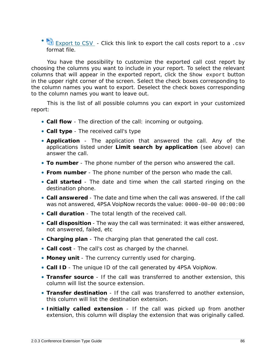• **B** Export to CSV - Click this link to export the call costs report to a .csv format file.

You have the possibility to customize the exported call cost report by choosing the columns you want to include in your report. To select the relevant columns that will appear in the exported report, click the Show export button in the upper right corner of the screen. Select the check boxes corresponding to the column names you want to export. Deselect the check boxes corresponding to the column names you want to leave out.

This is the list of all possible columns you can export in your customized report:

- **Call flow** The direction of the call: incoming or outgoing.
- **Call type** The received call's type
- **Application** The application that answered the call. Any of the applications listed under **Limit search by application** (see above) can answer the call.
- **To number** The phone number of the person who answered the call.
- **From number** The phone number of the person who made the call.
- **Call started** The date and time when the call started ringing on the destination phone.
- **Call answered** The date and time when the call was answered. If the call was not answered, 4PSA VoipNow records the value: 0000-00-00 00:00:00
- **Call duration** The total length of the received call.
- **Call disposition** The way the call was terminated: it was either answered, not answered, failed, etc
- **Charging plan** The charging plan that generated the call cost.
- **Call cost** The call's cost as charged by the channel.
- **Money unit** The currency currently used for charging.
- **Call ID** The unique ID of the call generated by 4PSA VoipNow.
- **Transfer source** If the call was transferred to another extension, this column will list the source extension.
- **Transfer destination** If the call was transferred to another extension, this column will list the destination extension.
- **Initially called extension** If the call was picked up from another extension, this column will display the extension that was originally called.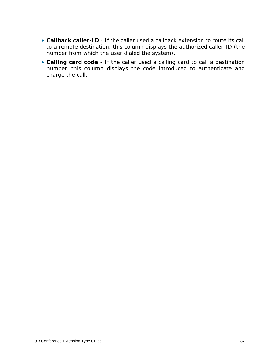- **Callback caller-ID** If the caller used a callback extension to route its call to a remote destination, this column displays the authorized caller-ID (the number from which the user dialed the system).
- **Calling card code** If the caller used a calling card to call a destination number, this column displays the code introduced to authenticate and charge the call.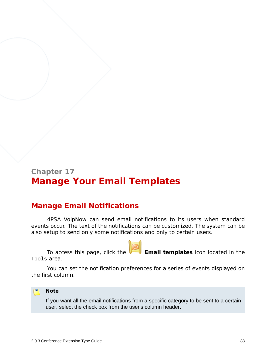# **Chapter 17 Manage Your Email Templates**

# **Manage Email Notifications**

4PSA VoipNow can send email notifications to its users when standard events occur. The text of the notifications can be customized. The system can be also setup to send only some notifications and only to certain users.

To access this page, click the **Email templates** icon located in the Tools area.

You can set the notification preferences for a series of events displayed on the first column.



If you want all the email notifications from a specific category to be sent to a certain user, select the check box from the user's column header.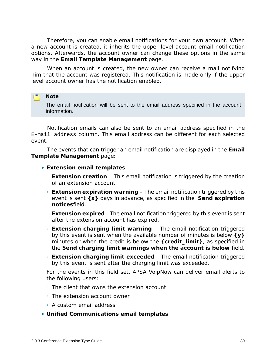Therefore, you can enable email notifications for your own account. When a new account is created, it inherits the upper level account email notification options. Afterwards, the account owner can change these options in the same way in the **Email Template Management** page.

When an account is created, the new owner can receive a mail notifying him that the account was registered. This notification is made only if the upper level account owner has the notification enabled.

#### r. **Note**

The email notification will be sent to the email address specified in the account information.

Notification emails can also be sent to an email address specified in the E-mail address column. This email address can be different for each selected event.

The events that can trigger an email notification are displayed in the **Email Template Management** page:

- **Extension email templates**
	- **Extension creation** This email notification is triggered by the creation of an extension account.
	- **Extension expiration warning** The email notification triggered by this event is sent **{x}** days in advance, as specified in the **Send expiration notices**field.
	- **Extension expired** The email notification triggered by this event is sent after the extension account has expired.
	- **Extension charging limit warning** The email notification triggered by this event is sent when the available number of minutes is below **{y}** minutes or when the credit is below the **{credit\_limit}**, as specified in the **Send charging limit warnings when the account is below** field.
	- **Extension charging limit exceeded** The email notification triggered by this event is sent after the charging limit was exceeded.

For the events in this field set, 4PSA VoipNow can deliver email alerts to the following users:

- The client that owns the extension account
- The extension account owner
- A custom email address
- **Unified Communications email templates**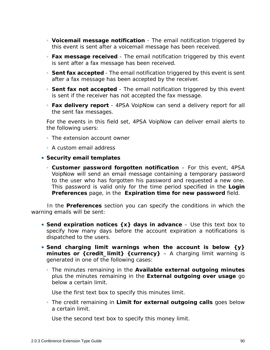- **Voicemail message notification** The email notification triggered by this event is sent after a voicemail message has been received.
- **Fax message received** The email notification triggered by this event is sent after a fax message has been received.
- **Sent fax accepted** The email notification triggered by this event is sent after a fax message has been accepted by the receiver.
- **Sent fax not accepted** The email notification triggered by this event is sent if the receiver has not accepted the fax message.
- **Fax delivery report** 4PSA VoipNow can send a delivery report for all the sent fax messages.

For the events in this field set, 4PSA VoipNow can deliver email alerts to the following users:

- The extension account owner
- A custom email address
- **Security email templates**
	- **Customer password forgotten notification** For this event, 4PSA VoipNow will send an email message containing a temporary password to the user who has forgotten his password and requested a new one. This password is valid only for the time period specified in the **Login Preferences** page, in the **Expiration time for new password** field.

In the **Preferences** section you can specify the conditions in which the warning emails will be sent:

- **Send expiration notices {x} days in advance** Use this text box to specify how many days before the account expiration a notifications is dispatched to the users.
- **Send charging limit warnings when the account is below {y} minutes or {credit\_limit} {currency}** – A charging limit warning is generated in one of the following cases:
	- The minutes remaining in the **Available external outgoing minutes** plus the minutes remaining in the **External outgoing over usage** go below a certain limit.

Use the first text box to specify this minutes limit.

◦ The credit remaining in **Limit for external outgoing calls** goes below a certain limit.

Use the second text box to specify this money limit.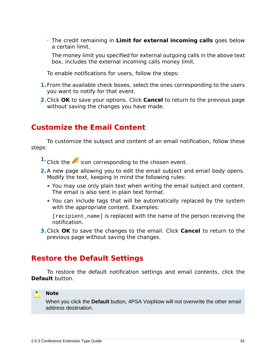◦ The credit remaining in **Limit for external incoming calls** goes below a certain limit.

The money limit you specified for external outgoing calls in the above text box, includes the external incoming calls money limit.

To enable notifications for users, follow the steps:

- **1.**From the available check boxes, select the ones corresponding to the users you want to notify for that event.
- **2.**Click **OK** to save your options. Click **Cancel** to return to the previous page without saving the changes you have made.

# **Customize the Email Content**

To customize the subject and content of an email notification, follow these steps:

- <sup>1.</sup> Click the **i**con corresponding to the chosen event.
- **2.**A new page allowing you to edit the email subject and email body opens. Modify the text, keeping in mind the following rules:
	- You may use only plain text when writing the email subject and content. The email is also sent in plain text format.
	- You can include tags that will be automatically replaced by the system with the appropriate content. Examples:

[recipient\_name] is replaced with the name of the person receiving the notification.

**3.**Click **OK** to save the changes to the email. Click **Cancel** to return to the previous page without saving the changes.

# **Restore the Default Settings**

To restore the default notification settings and email contents, click the **Default** button.

### ro. **Note**

When you click the **Default** button, 4PSA VoipNow will not overwrite the other email address destination.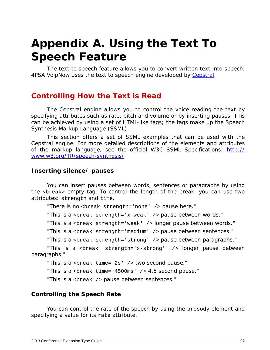# **Appendix A. Using the Text To Speech Feature**

The text to speech feature allows you to convert written text into speech. 4PSA VoipNow uses the text to speech engine developed by [Cepstral.](http://www.cepstral.com)

# **Controlling How the Text is Read**

The Cepstral engine allows you to control the voice reading the text by specifying attributes such as rate, pitch and volume or by inserting pauses. This can be achieved by using a set of HTML-like tags; the tags make up the Speech Synthesis Markup Language (SSML).

This section offers a set of SSML examples that can be used with the Cepstral engine. For more detailed descriptions of the elements and attributes of the markup language, see the official W3C SSML Specifications: [http://](http://www.w3.org/TR/speech-synthesis/) [www.w3.org/TR/speech-synthesis/](http://www.w3.org/TR/speech-synthesis/)

## **Inserting silence/ pauses**

You can insert pauses between words, sentences or paragraphs by using the <break> empty tag. To control the length of the break, you can use two attributes: strength and time.

"There is no <break strength='none' /> pause here."

"This is a <br eak  $strength='x-weak'$  /> pause between words."

"This is a <break strength='weak' /> longer pause between words."

"This is a <break strength='medium' /> pause between sentences."

"This is a <break strength='strong' /> pause between paragraphs."

"This is a  $\epsilon$  -  $\epsilon$  strength='x-strong' /> longer pause between paragraphs."

"This is a <break time='2s' /> two second pause."

"This is a <br eak time='4500ms'  $/$  > 4.5 second pause."

"This is a <break /> pause between sentences."

## **Controlling the Speech Rate**

You can control the rate of the speech by using the prosody element and specifying a value for its rate attribute.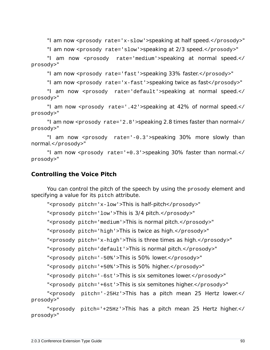"I am now <prosody rate='x-slow'>speaking at half speed.</prosody>"

"I am now <prosody rate='slow'>speaking at 2/3 speed.</prosody>"

"I am now <prosody rate='medium'>speaking at normal speed.</ prosody>"

"I am now <prosody rate='fast'>speaking 33% faster.</prosody>"

"I am now <prosody rate='x-fast'>speaking twice as fast</prosody>"

"I am now <prosody rate='default'>speaking at normal speed.</ prosody>"

"I am now <prosody rate='.42'>speaking at 42% of normal speed.</ prosody>"

"I am now <prosody rate='2.8'>speaking 2.8 times faster than normal</ prosody>"

"I am now <prosody rate='-0.3'>speaking 30% more slowly than normal.</prosody>"

"I am now <prosody rate='+0.3'>speaking 30% faster than normal.</ prosody>"

**Controlling the Voice Pitch**

You can control the pitch of the speech by using the prosody element and specifying a value for its pitch attribute.

"<prosody pitch='x-low'>This is half-pitch</prosody>"

"<prosody pitch='low'>This is 3/4 pitch.</prosody>"

"<prosody pitch='medium'>This is normal pitch.</prosody>"

"<prosody pitch='high'>This is twice as high.</prosody>"

"<prosody pitch='x-high'>This is three times as high.</prosody>"

"<prosody pitch='default'>This is normal pitch.</prosody>"

"<prosody pitch='-50%'>This is 50% lower.</prosody>"

"<prosody pitch='+50%'>This is 50% higher.</prosody>"

"<prosody pitch='-6st'>This is six semitones lower.</prosody>"

"<prosody pitch='+6st'>This is six semitones higher.</prosody>"

"<prosody pitch='-25Hz'>This has a pitch mean 25 Hertz lower.</ prosody>"

"<prosody pitch='+25Hz'>This has a pitch mean 25 Hertz higher.</ prosody>"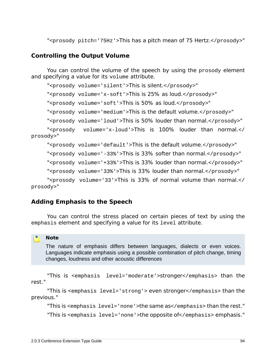"<prosody pitch='75Hz'>This has a pitch mean of 75 Hertz.</prosody>"

## **Controlling the Output Volume**

You can control the volume of the speech by using the prosody element and specifying a value for its volume attribute.

"<prosody volume='silent'>This is silent.</prosody>"

"<prosody volume='x-soft'>This is 25% as loud.</prosody>"

"<prosody volume='soft'>This is 50% as loud.</prosody>"

"<prosody volume='medium'>This is the default volume.</prosody>"

"<prosody volume='loud'>This is 50% louder than normal.</prosody>"

"<prosody volume='x-loud'>This is 100% louder than normal.</ prosody>"

"<prosody volume='default'>This is the default volume.</prosody>"

"<prosody volume='-33%'>This is 33% softer than normal.</prosody>"

"<prosody volume='+33%'>This is 33% louder than normal.</prosody>"

"<prosody volume='33%'>This is 33% louder than normal.</prosody>"

"<prosody volume='33'>This is 33% of normal volume than normal.</ prosody>"

## **Adding Emphasis to the Speech**

You can control the stress placed on certain pieces of text by using the emphasis element and specifying a value for its level attribute.

## **Note**

The nature of emphasis differs between languages, dialects or even voices. Languages indicate emphasis using a possible combination of pitch change, timing changes, loudness and other acoustic differences

"This is <emphasis level='moderate'>stronger</emphasis> than the rest."

"This is <emphasis level='strong'> even stronger</emphasis> than the previous."

"This is <emphasis level='none'>the same as</emphasis> than the rest."

"This is <emphasis level='none'>the opposite of</emphasis> emphasis."